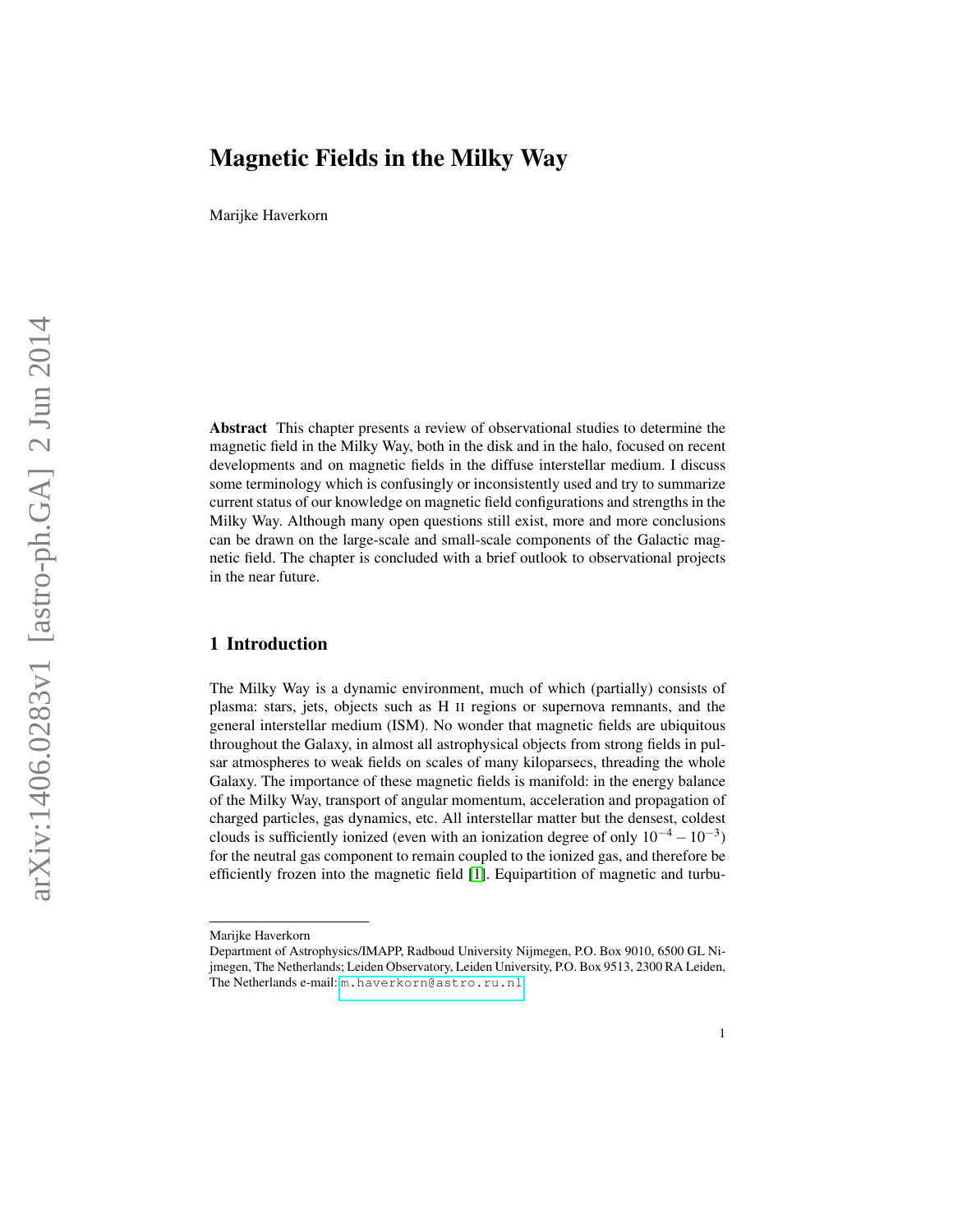Marijke Haverkorn

Abstract This chapter presents a review of observational studies to determine the magnetic field in the Milky Way, both in the disk and in the halo, focused on recent developments and on magnetic fields in the diffuse interstellar medium. I discuss some terminology which is confusingly or inconsistently used and try to summarize current status of our knowledge on magnetic field configurations and strengths in the Milky Way. Although many open questions still exist, more and more conclusions can be drawn on the large-scale and small-scale components of the Galactic magnetic field. The chapter is concluded with a brief outlook to observational projects in the near future.

### 1 Introduction

The Milky Way is a dynamic environment, much of which (partially) consists of plasma: stars, jets, objects such as H II regions or supernova remnants, and the general interstellar medium (ISM). No wonder that magnetic fields are ubiquitous throughout the Galaxy, in almost all astrophysical objects from strong fields in pulsar atmospheres to weak fields on scales of many kiloparsecs, threading the whole Galaxy. The importance of these magnetic fields is manifold: in the energy balance of the Milky Way, transport of angular momentum, acceleration and propagation of charged particles, gas dynamics, etc. All interstellar matter but the densest, coldest clouds is sufficiently ionized (even with an ionization degree of only  $10^{-4} - 10^{-3}$ ) for the neutral gas component to remain coupled to the ionized gas, and therefore be efficiently frozen into the magnetic field [\[1\]](#page-19-0). Equipartition of magnetic and turbu-

Marijke Haverkorn

Department of Astrophysics/IMAPP, Radboud University Nijmegen, P.O. Box 9010, 6500 GL Nijmegen, The Netherlands; Leiden Observatory, Leiden University, P.O. Box 9513, 2300 RA Leiden, The Netherlands e-mail: <m.haverkorn@astro.ru.nl>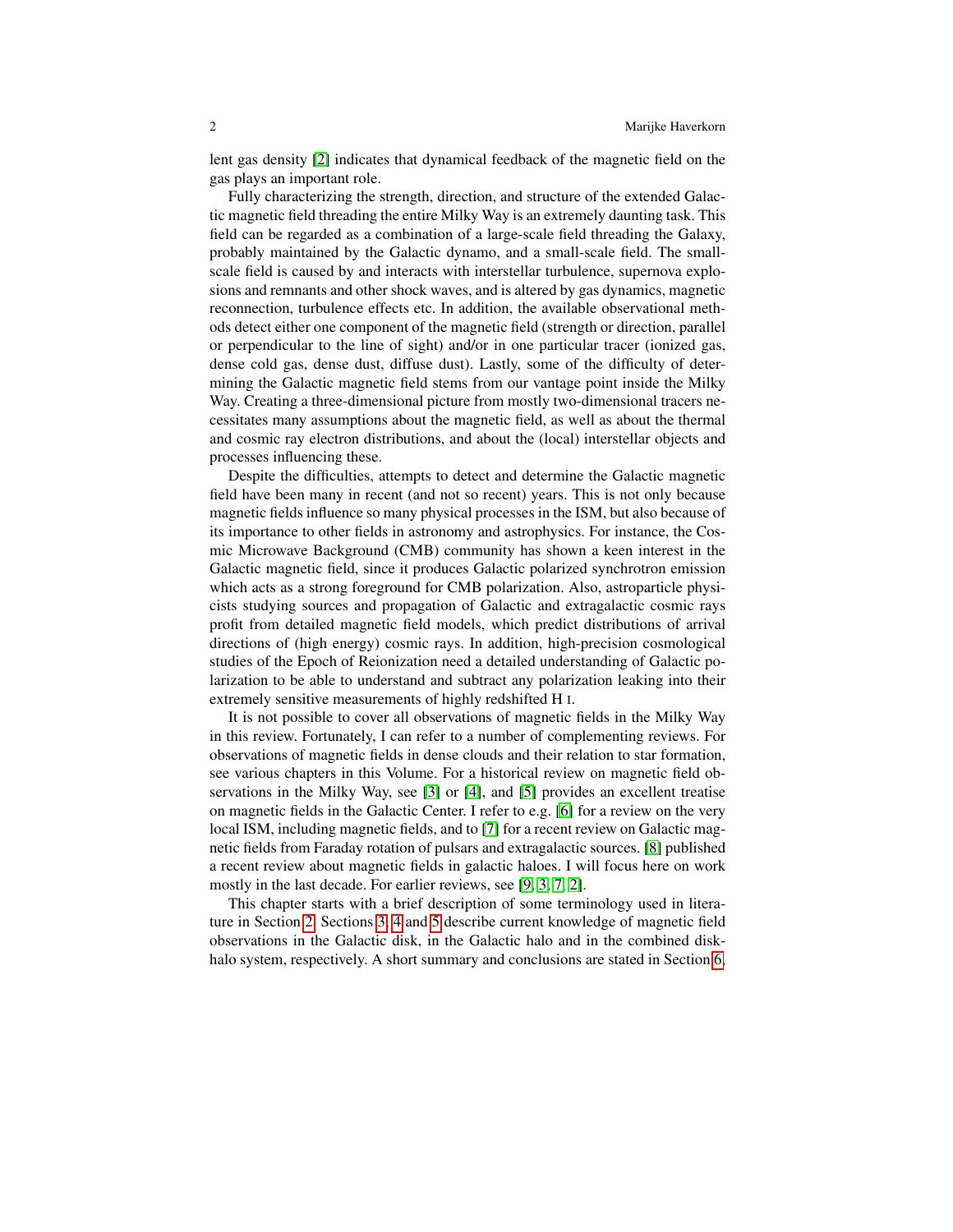lent gas density [\[2\]](#page-19-1) indicates that dynamical feedback of the magnetic field on the gas plays an important role.

Fully characterizing the strength, direction, and structure of the extended Galactic magnetic field threading the entire Milky Way is an extremely daunting task. This field can be regarded as a combination of a large-scale field threading the Galaxy, probably maintained by the Galactic dynamo, and a small-scale field. The smallscale field is caused by and interacts with interstellar turbulence, supernova explosions and remnants and other shock waves, and is altered by gas dynamics, magnetic reconnection, turbulence effects etc. In addition, the available observational methods detect either one component of the magnetic field (strength or direction, parallel or perpendicular to the line of sight) and/or in one particular tracer (ionized gas, dense cold gas, dense dust, diffuse dust). Lastly, some of the difficulty of determining the Galactic magnetic field stems from our vantage point inside the Milky Way. Creating a three-dimensional picture from mostly two-dimensional tracers necessitates many assumptions about the magnetic field, as well as about the thermal and cosmic ray electron distributions, and about the (local) interstellar objects and processes influencing these.

Despite the difficulties, attempts to detect and determine the Galactic magnetic field have been many in recent (and not so recent) years. This is not only because magnetic fields influence so many physical processes in the ISM, but also because of its importance to other fields in astronomy and astrophysics. For instance, the Cosmic Microwave Background (CMB) community has shown a keen interest in the Galactic magnetic field, since it produces Galactic polarized synchrotron emission which acts as a strong foreground for CMB polarization. Also, astroparticle physicists studying sources and propagation of Galactic and extragalactic cosmic rays profit from detailed magnetic field models, which predict distributions of arrival directions of (high energy) cosmic rays. In addition, high-precision cosmological studies of the Epoch of Reionization need a detailed understanding of Galactic polarization to be able to understand and subtract any polarization leaking into their extremely sensitive measurements of highly redshifted H I.

It is not possible to cover all observations of magnetic fields in the Milky Way in this review. Fortunately, I can refer to a number of complementing reviews. For observations of magnetic fields in dense clouds and their relation to star formation, see various chapters in this Volume. For a historical review on magnetic field observations in the Milky Way, see [\[3\]](#page-19-2) or [\[4\]](#page-19-3), and [\[5\]](#page-19-4) provides an excellent treatise on magnetic fields in the Galactic Center. I refer to e.g. [\[6\]](#page-19-5) for a review on the very local ISM, including magnetic fields, and to [\[7\]](#page-19-6) for a recent review on Galactic magnetic fields from Faraday rotation of pulsars and extragalactic sources. [\[8\]](#page-19-7) published a recent review about magnetic fields in galactic haloes. I will focus here on work mostly in the last decade. For earlier reviews, see [\[9,](#page-19-8) [3,](#page-19-2) [7,](#page-19-6) [2\]](#page-19-1).

This chapter starts with a brief description of some terminology used in literature in Section [2.](#page-2-0) Sections [3,](#page-6-0) [4](#page-12-0) and [5](#page-13-0) describe current knowledge of magnetic field observations in the Galactic disk, in the Galactic halo and in the combined diskhalo system, respectively. A short summary and conclusions are stated in Section [6,](#page-15-0)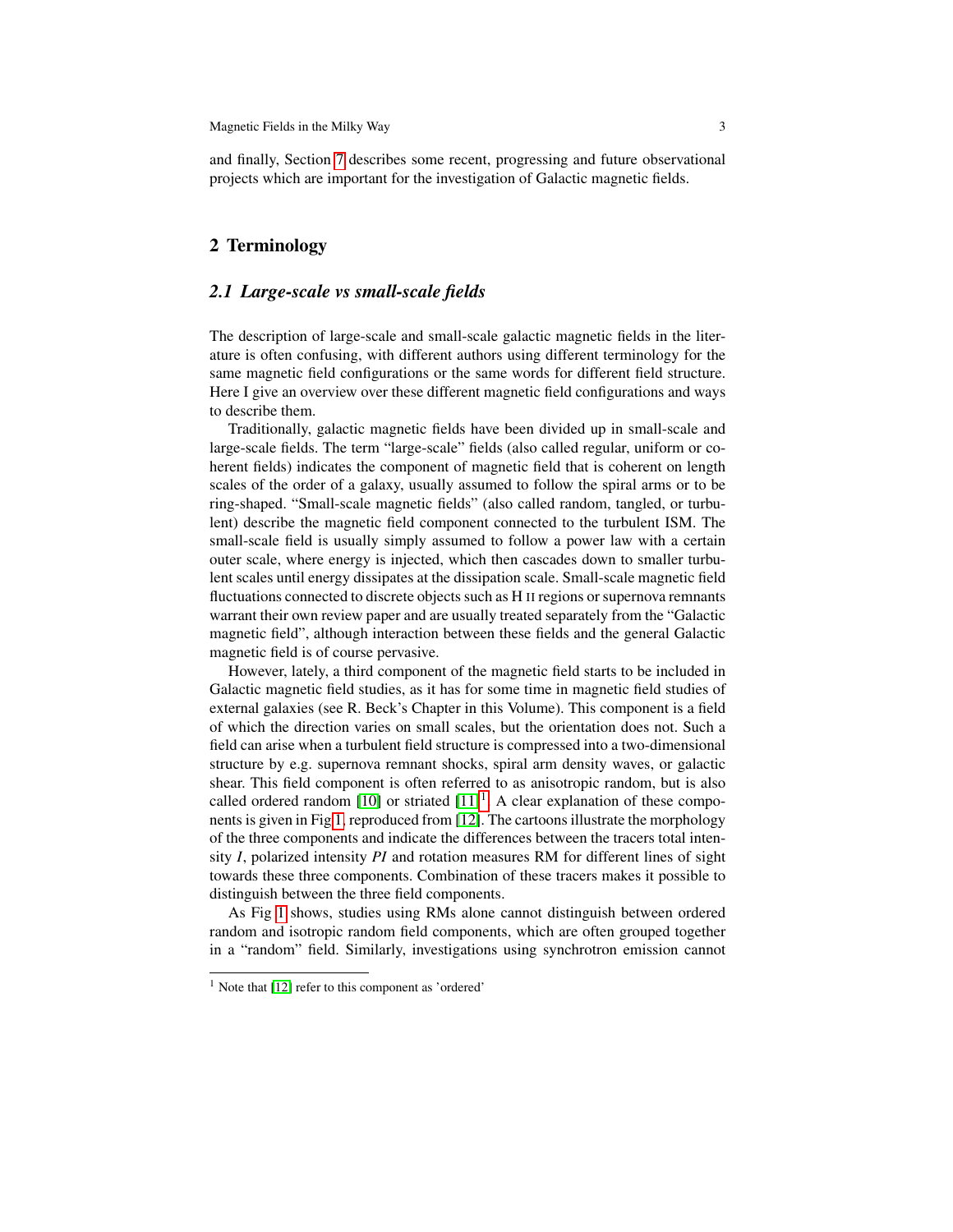and finally, Section [7](#page-16-0) describes some recent, progressing and future observational projects which are important for the investigation of Galactic magnetic fields.

#### <span id="page-2-0"></span>2 Terminology

#### <span id="page-2-2"></span>*2.1 Large-scale vs small-scale fields*

The description of large-scale and small-scale galactic magnetic fields in the literature is often confusing, with different authors using different terminology for the same magnetic field configurations or the same words for different field structure. Here I give an overview over these different magnetic field configurations and ways to describe them.

Traditionally, galactic magnetic fields have been divided up in small-scale and large-scale fields. The term "large-scale" fields (also called regular, uniform or coherent fields) indicates the component of magnetic field that is coherent on length scales of the order of a galaxy, usually assumed to follow the spiral arms or to be ring-shaped. "Small-scale magnetic fields" (also called random, tangled, or turbulent) describe the magnetic field component connected to the turbulent ISM. The small-scale field is usually simply assumed to follow a power law with a certain outer scale, where energy is injected, which then cascades down to smaller turbulent scales until energy dissipates at the dissipation scale. Small-scale magnetic field fluctuations connected to discrete objects such as H II regions or supernova remnants warrant their own review paper and are usually treated separately from the "Galactic magnetic field", although interaction between these fields and the general Galactic magnetic field is of course pervasive.

However, lately, a third component of the magnetic field starts to be included in Galactic magnetic field studies, as it has for some time in magnetic field studies of external galaxies (see R. Beck's Chapter in this Volume). This component is a field of which the direction varies on small scales, but the orientation does not. Such a field can arise when a turbulent field structure is compressed into a two-dimensional structure by e.g. supernova remnant shocks, spiral arm density waves, or galactic shear. This field component is often referred to as anisotropic random, but is also called ordered random  $[10]$  or striated  $[11]$ <sup>[1](#page-2-1)</sup>. A clear explanation of these components is given in Fig [1,](#page-3-0) reproduced from [\[12\]](#page-19-11). The cartoons illustrate the morphology of the three components and indicate the differences between the tracers total intensity *I*, polarized intensity *PI* and rotation measures RM for different lines of sight towards these three components. Combination of these tracers makes it possible to distinguish between the three field components.

As Fig [1](#page-3-0) shows, studies using RMs alone cannot distinguish between ordered random and isotropic random field components, which are often grouped together in a "random" field. Similarly, investigations using synchrotron emission cannot

<span id="page-2-1"></span> $<sup>1</sup>$  Note that [\[12\]](#page-19-11) refer to this component as 'ordered'</sup>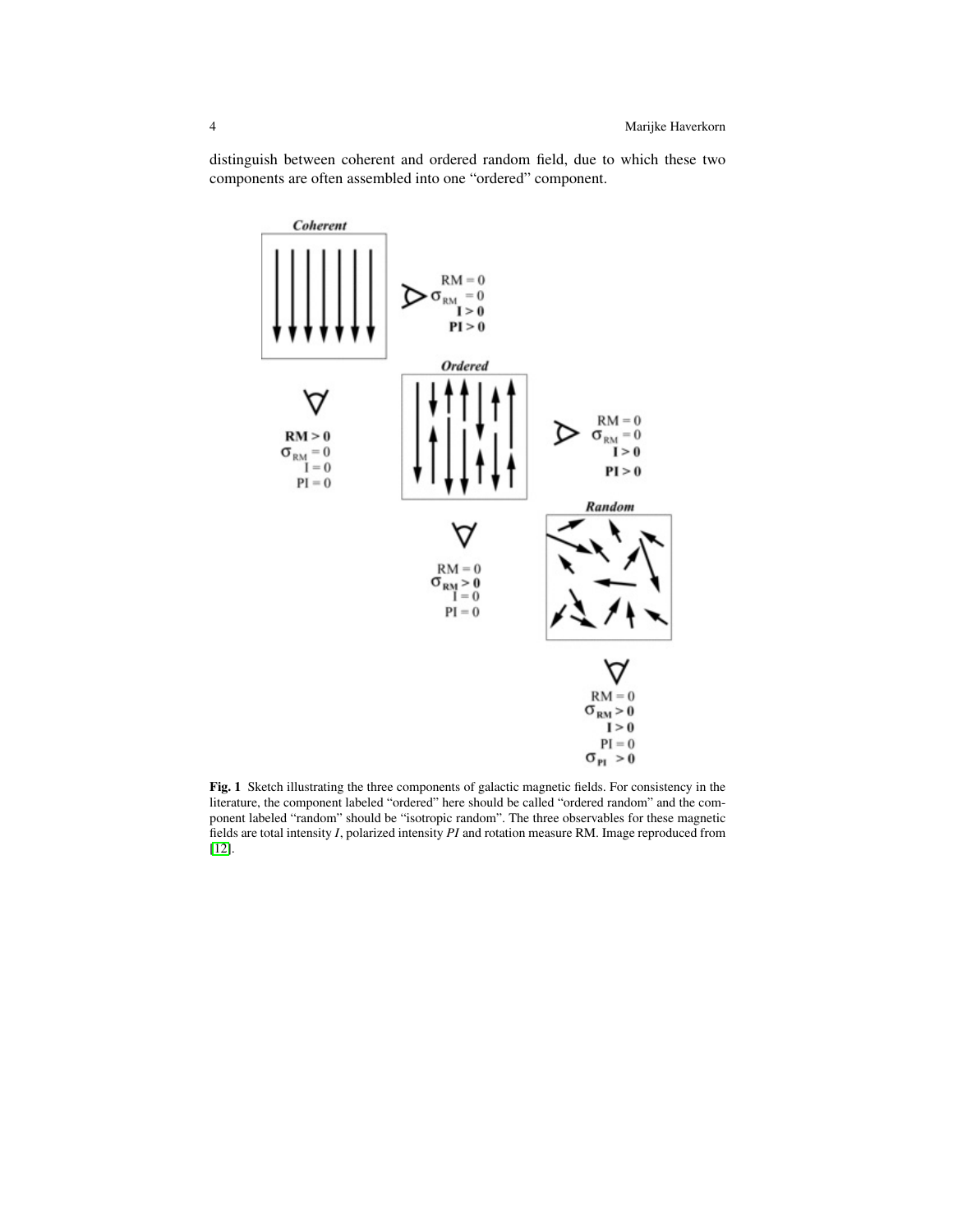distinguish between coherent and ordered random field, due to which these two components are often assembled into one "ordered" component.



<span id="page-3-0"></span>Fig. 1 Sketch illustrating the three components of galactic magnetic fields. For consistency in the literature, the component labeled "ordered" here should be called "ordered random" and the component labeled "random" should be "isotropic random". The three observables for these magnetic fields are total intensity *I*, polarized intensity *PI* and rotation measure RM. Image reproduced from [\[12\]](#page-19-11).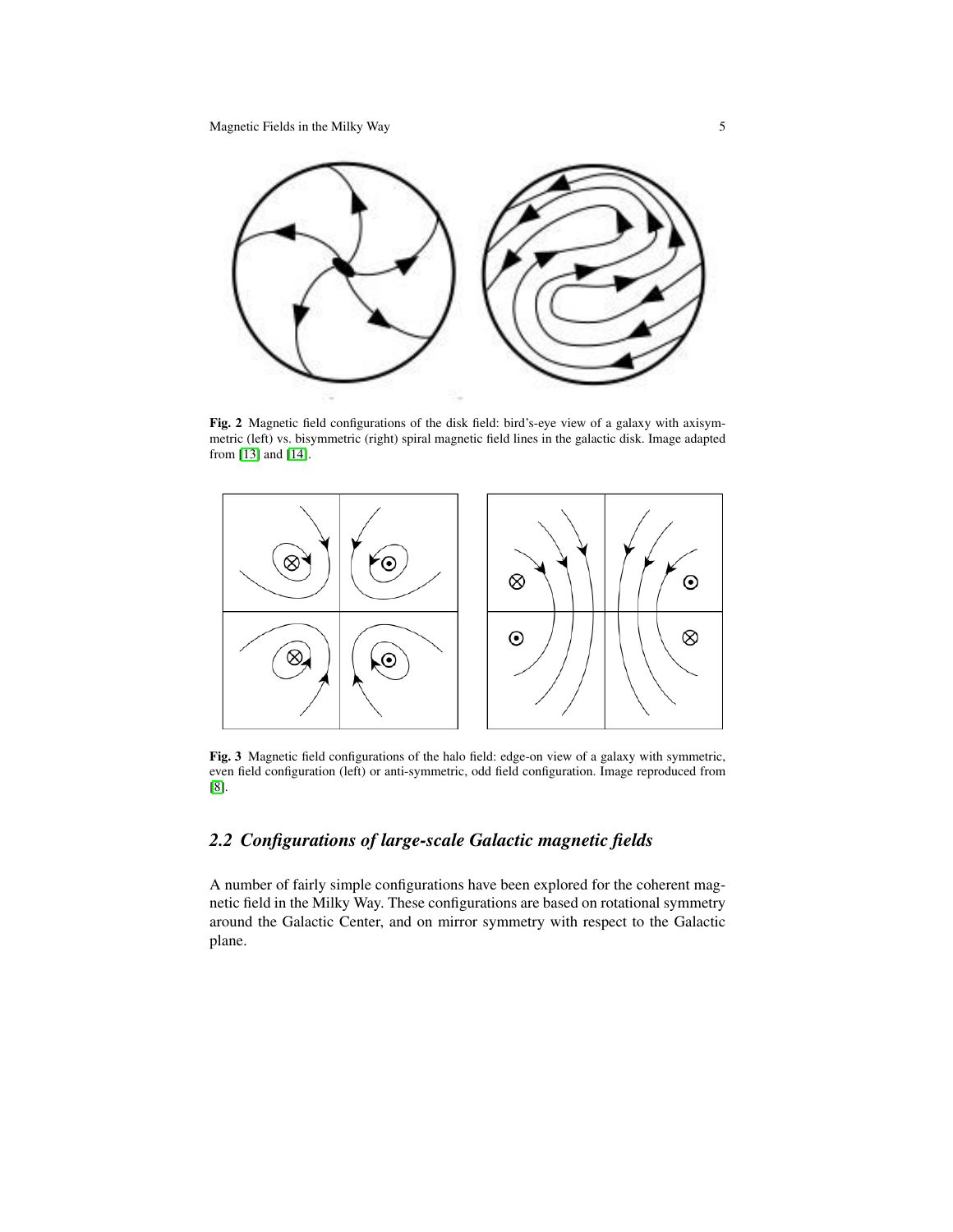

<span id="page-4-0"></span>Fig. 2 Magnetic field configurations of the disk field: bird's-eye view of a galaxy with axisymmetric (left) vs. bisymmetric (right) spiral magnetic field lines in the galactic disk. Image adapted from [\[13\]](#page-19-12) and [\[14\]](#page-19-13).



<span id="page-4-1"></span>Fig. 3 Magnetic field configurations of the halo field: edge-on view of a galaxy with symmetric, even field configuration (left) or anti-symmetric, odd field configuration. Image reproduced from [\[8\]](#page-19-7).

## *2.2 Configurations of large-scale Galactic magnetic fields*

A number of fairly simple configurations have been explored for the coherent magnetic field in the Milky Way. These configurations are based on rotational symmetry around the Galactic Center, and on mirror symmetry with respect to the Galactic plane.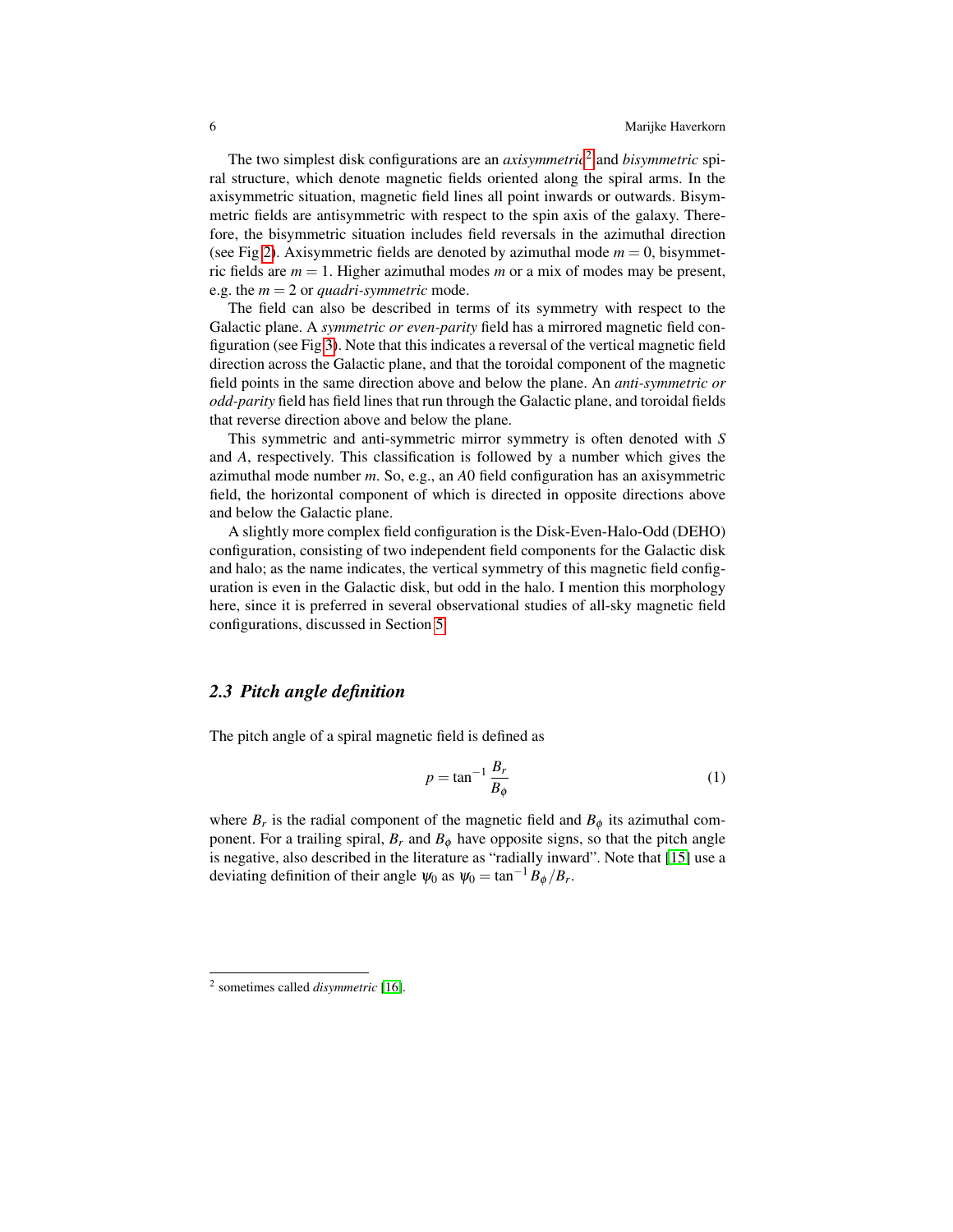The two simplest disk configurations are an *axisymmetric*[2](#page-5-0) and *bisymmetric* spiral structure, which denote magnetic fields oriented along the spiral arms. In the axisymmetric situation, magnetic field lines all point inwards or outwards. Bisymmetric fields are antisymmetric with respect to the spin axis of the galaxy. Therefore, the bisymmetric situation includes field reversals in the azimuthal direction (see Fig [2\)](#page-4-0). Axisymmetric fields are denoted by azimuthal mode  $m = 0$ , bisymmetric fields are  $m = 1$ . Higher azimuthal modes *m* or a mix of modes may be present, e.g. the  $m = 2$  or *quadri-symmetric* mode.

The field can also be described in terms of its symmetry with respect to the Galactic plane. A *symmetric or even-parity* field has a mirrored magnetic field configuration (see Fig [3\)](#page-4-1). Note that this indicates a reversal of the vertical magnetic field direction across the Galactic plane, and that the toroidal component of the magnetic field points in the same direction above and below the plane. An *anti-symmetric or odd-parity* field has field lines that run through the Galactic plane, and toroidal fields that reverse direction above and below the plane.

This symmetric and anti-symmetric mirror symmetry is often denoted with *S* and *A*, respectively. This classification is followed by a number which gives the azimuthal mode number *m*. So, e.g., an *A*0 field configuration has an axisymmetric field, the horizontal component of which is directed in opposite directions above and below the Galactic plane.

A slightly more complex field configuration is the Disk-Even-Halo-Odd (DEHO) configuration, consisting of two independent field components for the Galactic disk and halo; as the name indicates, the vertical symmetry of this magnetic field configuration is even in the Galactic disk, but odd in the halo. I mention this morphology here, since it is preferred in several observational studies of all-sky magnetic field configurations, discussed in Section [5.](#page-13-0)

#### <span id="page-5-1"></span>*2.3 Pitch angle definition*

The pitch angle of a spiral magnetic field is defined as

$$
p = \tan^{-1} \frac{B_r}{B_\phi} \tag{1}
$$

where  $B_r$  is the radial component of the magnetic field and  $B_\phi$  its azimuthal component. For a trailing spiral,  $B_r$  and  $B_\phi$  have opposite signs, so that the pitch angle is negative, also described in the literature as "radially inward". Note that [\[15\]](#page-19-14) use a deviating definition of their angle  $\psi_0$  as  $\psi_0 = \tan^{-1} B_\phi / B_r$ .

<span id="page-5-0"></span><sup>2</sup> sometimes called *disymmetric* [\[16\]](#page-19-15).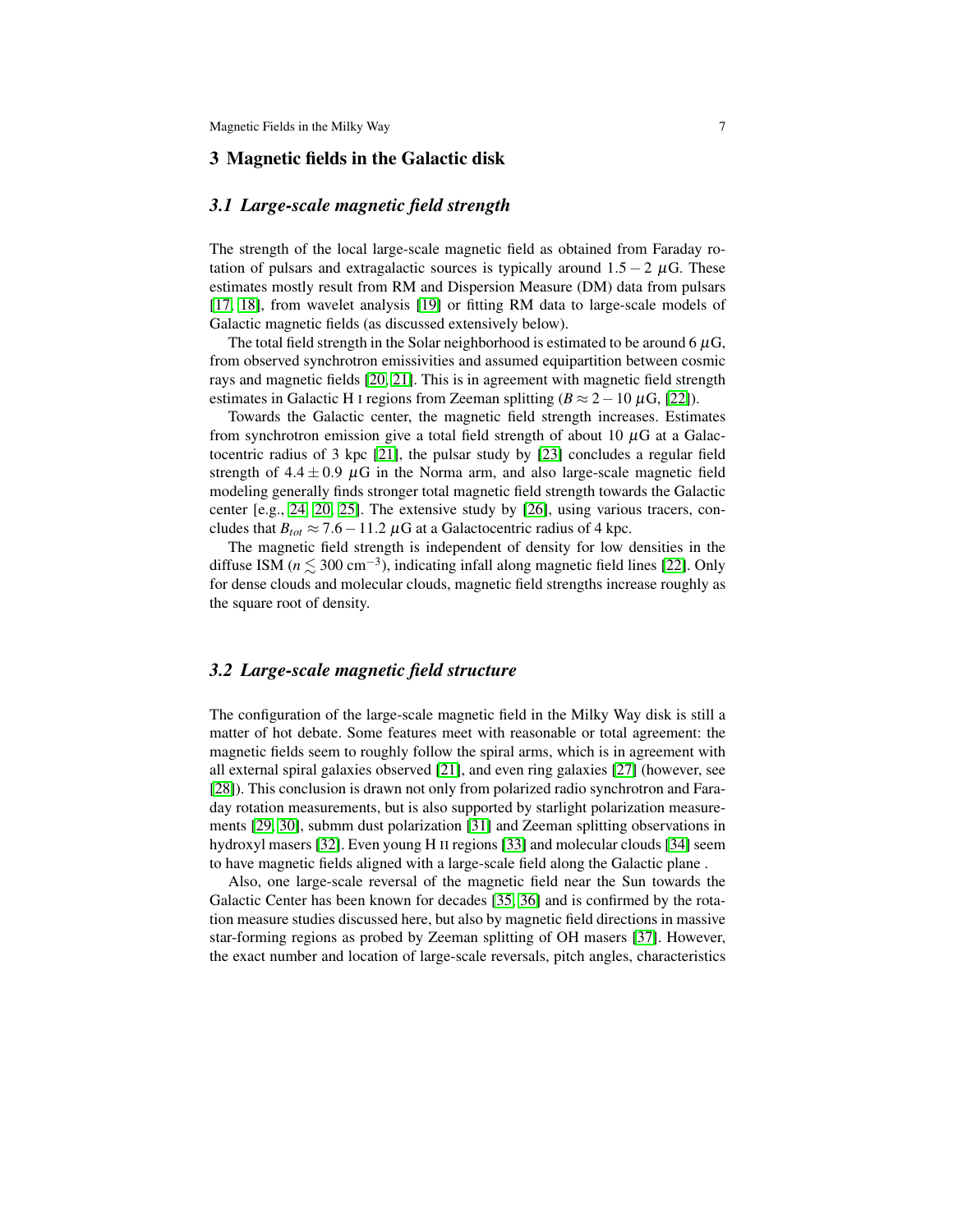### <span id="page-6-0"></span>3 Magnetic fields in the Galactic disk

#### *3.1 Large-scale magnetic field strength*

The strength of the local large-scale magnetic field as obtained from Faraday rotation of pulsars and extragalactic sources is typically around  $1.5 - 2 \mu$ G. These estimates mostly result from RM and Dispersion Measure (DM) data from pulsars [\[17,](#page-19-16) [18\]](#page-19-17), from wavelet analysis [\[19\]](#page-19-18) or fitting RM data to large-scale models of Galactic magnetic fields (as discussed extensively below).

The total field strength in the Solar neighborhood is estimated to be around 6  $\mu$ G, from observed synchrotron emissivities and assumed equipartition between cosmic rays and magnetic fields [\[20,](#page-19-19) [21\]](#page-19-20). This is in agreement with magnetic field strength estimates in Galactic H I regions from Zeeman splitting ( $B \approx 2-10 \mu$ G, [\[22\]](#page-20-0)).

Towards the Galactic center, the magnetic field strength increases. Estimates from synchrotron emission give a total field strength of about 10  $\mu$ G at a Galactocentric radius of 3 kpc [\[21\]](#page-19-20), the pulsar study by [\[23\]](#page-20-1) concludes a regular field strength of  $4.4 \pm 0.9$   $\mu$ G in the Norma arm, and also large-scale magnetic field modeling generally finds stronger total magnetic field strength towards the Galactic center [e.g., [24,](#page-20-2) [20,](#page-19-19) [25\]](#page-20-3). The extensive study by [\[26\]](#page-20-4), using various tracers, concludes that  $B_{tot} \approx 7.6 - 11.2 \,\mu\text{G}$  at a Galactocentric radius of 4 kpc.

The magnetic field strength is independent of density for low densities in the diffuse ISM ( $n \lesssim 300 \text{ cm}^{-3}$ ), indicating infall along magnetic field lines [\[22\]](#page-20-0). Only for dense clouds and molecular clouds, magnetic field strengths increase roughly as the square root of density.

#### *3.2 Large-scale magnetic field structure*

The configuration of the large-scale magnetic field in the Milky Way disk is still a matter of hot debate. Some features meet with reasonable or total agreement: the magnetic fields seem to roughly follow the spiral arms, which is in agreement with all external spiral galaxies observed [\[21\]](#page-19-20), and even ring galaxies [\[27\]](#page-20-5) (however, see [\[28\]](#page-20-6)). This conclusion is drawn not only from polarized radio synchrotron and Faraday rotation measurements, but is also supported by starlight polarization measurements [\[29,](#page-20-7) [30\]](#page-20-8), submm dust polarization [\[31\]](#page-20-9) and Zeeman splitting observations in hydroxyl masers [\[32\]](#page-20-10). Even young H II regions [\[33\]](#page-20-11) and molecular clouds [\[34\]](#page-20-12) seem to have magnetic fields aligned with a large-scale field along the Galactic plane .

Also, one large-scale reversal of the magnetic field near the Sun towards the Galactic Center has been known for decades [\[35,](#page-20-13) [36\]](#page-20-14) and is confirmed by the rotation measure studies discussed here, but also by magnetic field directions in massive star-forming regions as probed by Zeeman splitting of OH masers [\[37\]](#page-20-15). However, the exact number and location of large-scale reversals, pitch angles, characteristics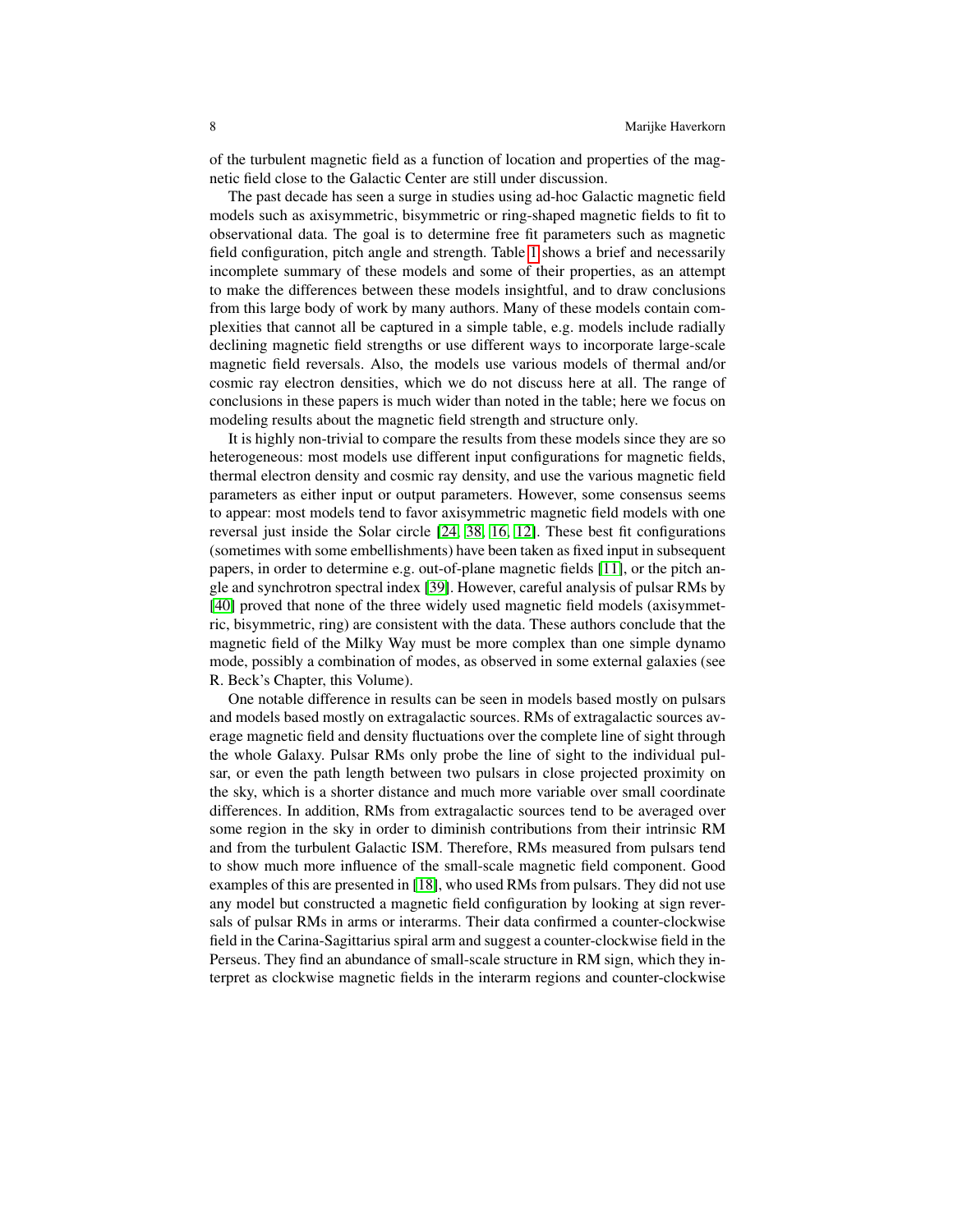of the turbulent magnetic field as a function of location and properties of the magnetic field close to the Galactic Center are still under discussion.

The past decade has seen a surge in studies using ad-hoc Galactic magnetic field models such as axisymmetric, bisymmetric or ring-shaped magnetic fields to fit to observational data. The goal is to determine free fit parameters such as magnetic field configuration, pitch angle and strength. Table [1](#page-10-0) shows a brief and necessarily incomplete summary of these models and some of their properties, as an attempt to make the differences between these models insightful, and to draw conclusions from this large body of work by many authors. Many of these models contain complexities that cannot all be captured in a simple table, e.g. models include radially declining magnetic field strengths or use different ways to incorporate large-scale magnetic field reversals. Also, the models use various models of thermal and/or cosmic ray electron densities, which we do not discuss here at all. The range of conclusions in these papers is much wider than noted in the table; here we focus on modeling results about the magnetic field strength and structure only.

It is highly non-trivial to compare the results from these models since they are so heterogeneous: most models use different input configurations for magnetic fields, thermal electron density and cosmic ray density, and use the various magnetic field parameters as either input or output parameters. However, some consensus seems to appear: most models tend to favor axisymmetric magnetic field models with one reversal just inside the Solar circle [\[24,](#page-20-2) [38,](#page-20-16) [16,](#page-19-15) [12\]](#page-19-11). These best fit configurations (sometimes with some embellishments) have been taken as fixed input in subsequent papers, in order to determine e.g. out-of-plane magnetic fields [\[11\]](#page-19-10), or the pitch angle and synchrotron spectral index [\[39\]](#page-20-17). However, careful analysis of pulsar RMs by [\[40\]](#page-20-18) proved that none of the three widely used magnetic field models (axisymmetric, bisymmetric, ring) are consistent with the data. These authors conclude that the magnetic field of the Milky Way must be more complex than one simple dynamo mode, possibly a combination of modes, as observed in some external galaxies (see R. Beck's Chapter, this Volume).

One notable difference in results can be seen in models based mostly on pulsars and models based mostly on extragalactic sources. RMs of extragalactic sources average magnetic field and density fluctuations over the complete line of sight through the whole Galaxy. Pulsar RMs only probe the line of sight to the individual pulsar, or even the path length between two pulsars in close projected proximity on the sky, which is a shorter distance and much more variable over small coordinate differences. In addition, RMs from extragalactic sources tend to be averaged over some region in the sky in order to diminish contributions from their intrinsic RM and from the turbulent Galactic ISM. Therefore, RMs measured from pulsars tend to show much more influence of the small-scale magnetic field component. Good examples of this are presented in [\[18\]](#page-19-17), who used RMs from pulsars. They did not use any model but constructed a magnetic field configuration by looking at sign reversals of pulsar RMs in arms or interarms. Their data confirmed a counter-clockwise field in the Carina-Sagittarius spiral arm and suggest a counter-clockwise field in the Perseus. They find an abundance of small-scale structure in RM sign, which they interpret as clockwise magnetic fields in the interarm regions and counter-clockwise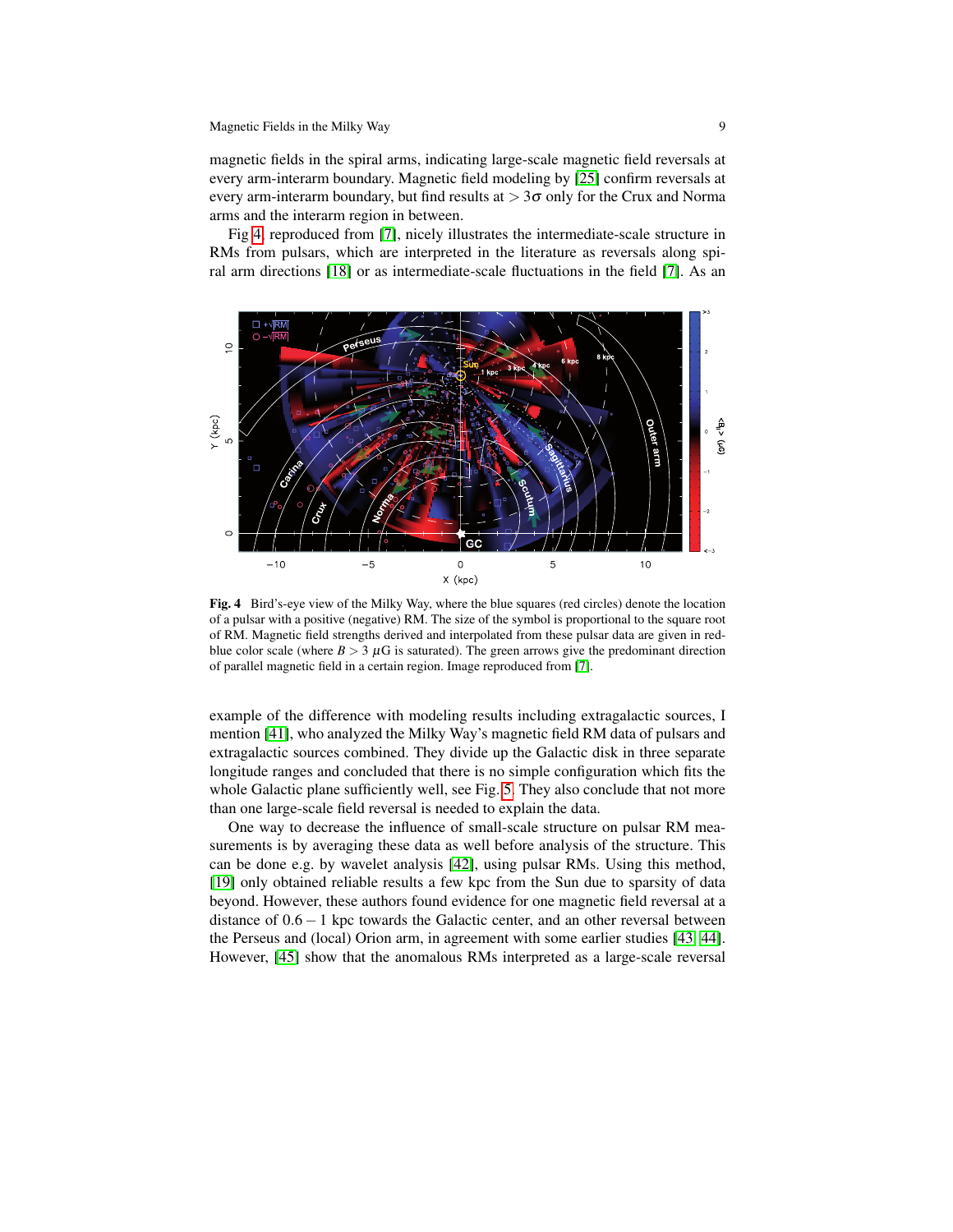magnetic fields in the spiral arms, indicating large-scale magnetic field reversals at every arm-interarm boundary. Magnetic field modeling by [\[25\]](#page-20-3) confirm reversals at every arm-interarm boundary, but find results at  $> 3\sigma$  only for the Crux and Norma arms and the interarm region in between.

Fig [4,](#page-8-0) reproduced from [\[7\]](#page-19-6), nicely illustrates the intermediate-scale structure in RMs from pulsars, which are interpreted in the literature as reversals along spiral arm directions [\[18\]](#page-19-17) or as intermediate-scale fluctuations in the field [\[7\]](#page-19-6). As an



<span id="page-8-0"></span>Fig. 4 Bird's-eye view of the Milky Way, where the blue squares (red circles) denote the location of a pulsar with a positive (negative) RM. The size of the symbol is proportional to the square root of RM. Magnetic field strengths derived and interpolated from these pulsar data are given in redblue color scale (where  $B > 3 \mu$ G is saturated). The green arrows give the predominant direction of parallel magnetic field in a certain region. Image reproduced from [\[7\]](#page-19-6).

example of the difference with modeling results including extragalactic sources, I mention [\[41\]](#page-20-19), who analyzed the Milky Way's magnetic field RM data of pulsars and extragalactic sources combined. They divide up the Galactic disk in three separate longitude ranges and concluded that there is no simple configuration which fits the whole Galactic plane sufficiently well, see Fig. [5.](#page-9-0) They also conclude that not more than one large-scale field reversal is needed to explain the data.

One way to decrease the influence of small-scale structure on pulsar RM measurements is by averaging these data as well before analysis of the structure. This can be done e.g. by wavelet analysis [\[42\]](#page-20-20), using pulsar RMs. Using this method, [\[19\]](#page-19-18) only obtained reliable results a few kpc from the Sun due to sparsity of data beyond. However, these authors found evidence for one magnetic field reversal at a distance of  $0.6 - 1$  kpc towards the Galactic center, and an other reversal between the Perseus and (local) Orion arm, in agreement with some earlier studies [\[43,](#page-20-21) [44\]](#page-20-22). However, [\[45\]](#page-20-23) show that the anomalous RMs interpreted as a large-scale reversal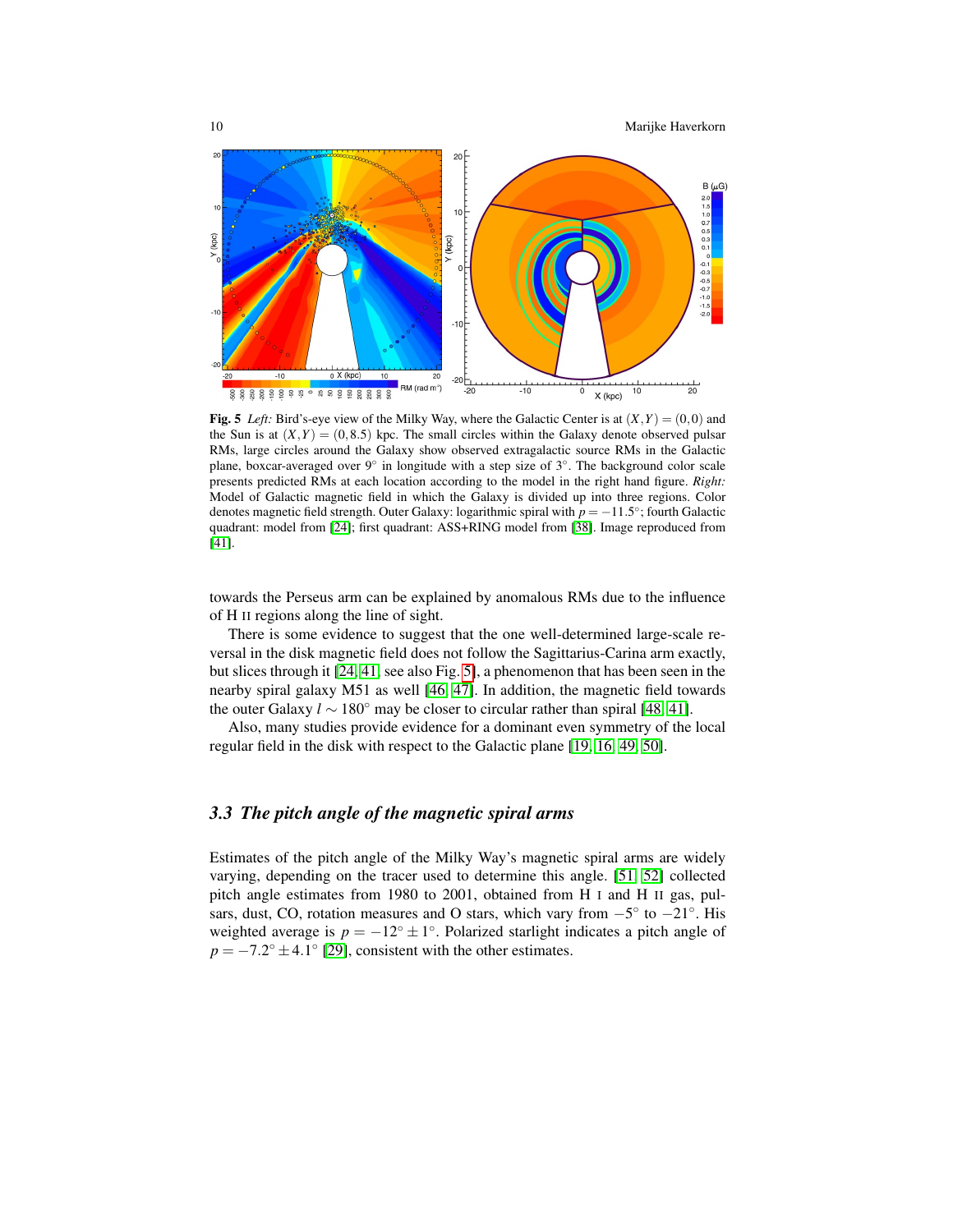10 Marijke Haverkorn



<span id="page-9-0"></span>Fig. 5 Left: Bird's-eye view of the Milky Way, where the Galactic Center is at  $(X, Y) = (0, 0)$  and the Sun is at  $(X, Y) = (0, 8.5)$  kpc. The small circles within the Galaxy denote observed pulsar RMs, large circles around the Galaxy show observed extragalactic source RMs in the Galactic plane, boxcar-averaged over 9° in longitude with a step size of 3°. The background color scale presents predicted RMs at each location according to the model in the right hand figure. *Right:* Model of Galactic magnetic field in which the Galaxy is divided up into three regions. Color denotes magnetic field strength. Outer Galaxy: logarithmic spiral with  $p = -11.5^{\circ}$ ; fourth Galactic quadrant: model from [\[24\]](#page-20-2); first quadrant: ASS+RING model from [\[38\]](#page-20-16). Image reproduced from [\[41\]](#page-20-19).

towards the Perseus arm can be explained by anomalous RMs due to the influence of H II regions along the line of sight.

There is some evidence to suggest that the one well-determined large-scale reversal in the disk magnetic field does not follow the Sagittarius-Carina arm exactly, but slices through it [\[24,](#page-20-2) [41,](#page-20-19) see also Fig. [5\]](#page-9-0), a phenomenon that has been seen in the nearby spiral galaxy M51 as well [\[46,](#page-20-24) [47\]](#page-20-25). In addition, the magnetic field towards the outer Galaxy *l* ∼ 180◦ may be closer to circular rather than spiral [\[48,](#page-20-26) [41\]](#page-20-19).

Also, many studies provide evidence for a dominant even symmetry of the local regular field in the disk with respect to the Galactic plane [\[19,](#page-19-18) [16,](#page-19-15) [49,](#page-20-27) [50\]](#page-20-28).

### *3.3 The pitch angle of the magnetic spiral arms*

Estimates of the pitch angle of the Milky Way's magnetic spiral arms are widely varying, depending on the tracer used to determine this angle. [\[51,](#page-20-29) [52\]](#page-20-30) collected pitch angle estimates from 1980 to 2001, obtained from H I and H II gas, pulsars, dust, CO, rotation measures and O stars, which vary from  $-5^\circ$  to  $-21^\circ$ . His weighted average is  $p = -12^\circ \pm 1^\circ$ . Polarized starlight indicates a pitch angle of  $p = -7.2^{\circ} \pm 4.1^{\circ}$  [\[29\]](#page-20-7), consistent with the other estimates.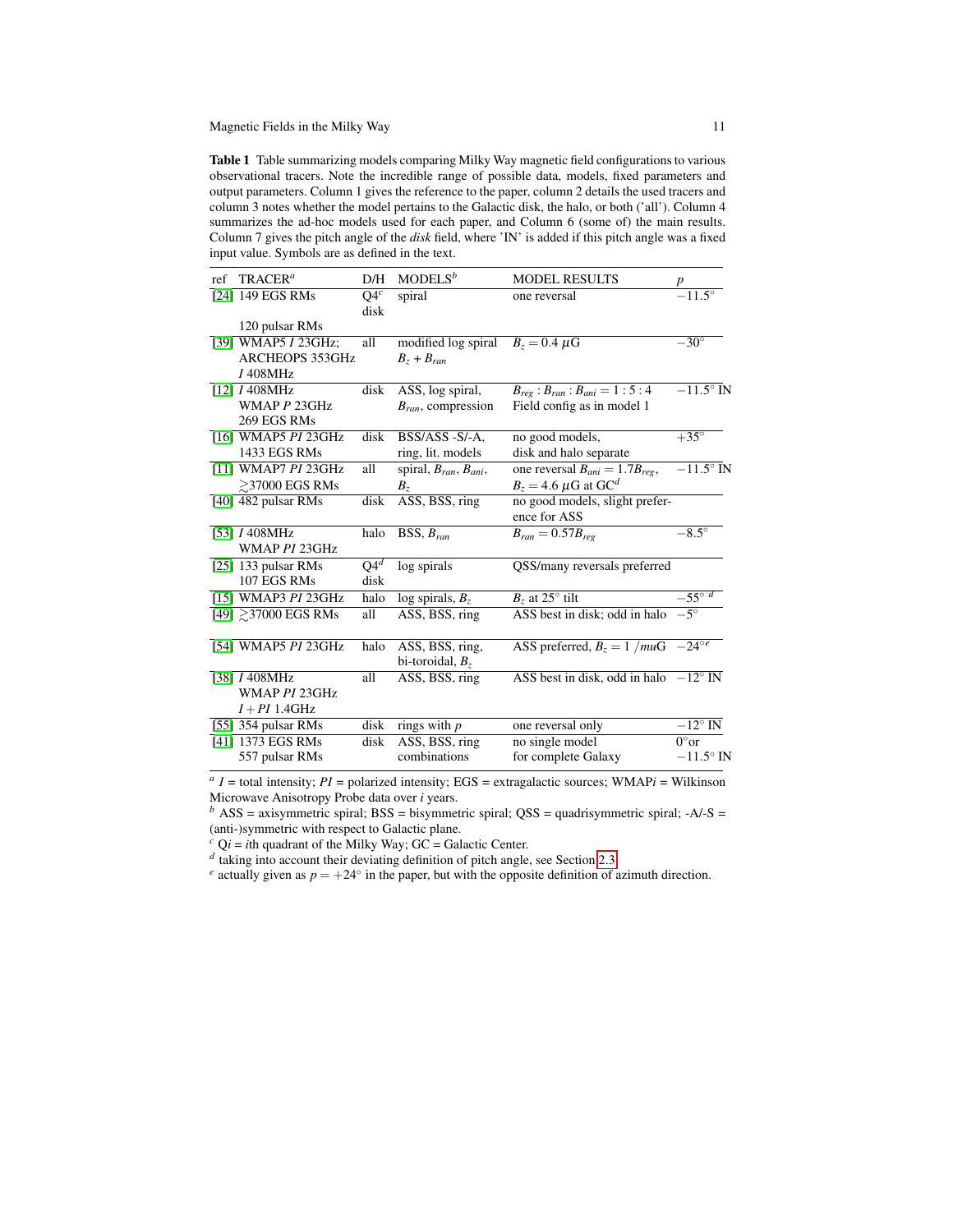<span id="page-10-0"></span>Table 1 Table summarizing models comparing Milky Way magnetic field configurations to various observational tracers. Note the incredible range of possible data, models, fixed parameters and output parameters. Column 1 gives the reference to the paper, column 2 details the used tracers and column 3 notes whether the model pertains to the Galactic disk, the halo, or both ('all'). Column 4 summarizes the ad-hoc models used for each paper, and Column 6 (some of) the main results. Column 7 gives the pitch angle of the *disk* field, where 'IN' is added if this pitch angle was a fixed input value. Symbols are as defined in the text.

| ref | $TRACERa$                  | D/H                               | MODELS <sup>b</sup>             | <b>MODEL RESULTS</b>                            |                               |
|-----|----------------------------|-----------------------------------|---------------------------------|-------------------------------------------------|-------------------------------|
|     | [24] 149 EGS RMs           | $\overline{Q4^c}$<br>disk         | spiral                          | one reversal                                    | $\frac{p}{-11.5^{\circ}}$     |
|     | 120 pulsar RMs             |                                   |                                 |                                                 |                               |
|     | [39] WMAP5 <i>I</i> 23GHz; | all                               | modified log spiral             | $B_z = 0.4 \mu G$                               | $-30^\circ$                   |
|     | <b>ARCHEOPS 353GHz</b>     |                                   | $B_z + B_{ran}$                 |                                                 |                               |
|     | <i>I</i> 408MHz            |                                   |                                 |                                                 |                               |
|     | $[12]$ $I$ 408MHz          | disk                              | ASS, log spiral,                | $B_{reg}: B_{ran}: B_{ani} = 1:5:4$             | $\overline{-11.5^{\circ}}$ IN |
|     | WMAP P 23GHz               |                                   | $B_{ran}$ , compression         | Field config as in model 1                      |                               |
|     | 269 EGS RMs                |                                   |                                 |                                                 |                               |
|     | [16] WMAP5 PI 23GHz        | disk                              | BSS/ASS-S/-A,                   | no good models,                                 | $+35^\circ$                   |
|     | 1433 EGS RMs               |                                   | ring, lit. models               | disk and halo separate                          |                               |
|     | [11] WMAP7 PI 23GHz        | all                               | spiral, $B_{ran}$ , $B_{ani}$ , | one reversal $B_{ani} = 1.7B_{reg}$ ,           | $\overline{-11.5^{\circ}}$ IN |
|     | $\geq$ 37000 EGS RMs       |                                   | B <sub>z</sub>                  | $B_z = 4.6 \mu$ G at GC <sup>d</sup>            |                               |
|     | $[40]$ 482 pulsar RMs      | disk                              | ASS, BSS, ring                  | no good models, slight prefer-                  |                               |
|     |                            |                                   |                                 | ence for ASS                                    |                               |
|     | [53] <i>I</i> 408MHz       | halo                              | BSS, $B_{ran}$                  | $B_{ran} = 0.57 B_{reg}$                        | $-8.5^\circ$                  |
|     | WMAP PI 23GHz              |                                   |                                 |                                                 |                               |
|     | $[25]$ 133 pulsar RMs      | $\overline{Q^{4}}^{\overline{d}}$ | log spirals                     | QSS/many reversals preferred                    |                               |
|     | 107 EGS RMs                | disk                              |                                 |                                                 |                               |
|     | [15] WMAP3 PI 23GHz        | halo                              | log spirals, $B_z$              | $B_z$ at 25° tilt                               | $-55^\circ d$                 |
|     | [49] $\geq$ 37000 EGS RMs  | all                               | ASS, BSS, ring                  | ASS best in disk; odd in halo                   | $-5^\circ$                    |
|     |                            |                                   |                                 |                                                 |                               |
|     | [54] WMAP5 PI 23GHz        | halo                              | ASS, BSS, ring,                 | ASS preferred, $B_z = 1 / m u G - 24^{\circ e}$ |                               |
|     |                            |                                   | bi-toroidal, $B_7$              |                                                 |                               |
|     | [38] <i>I</i> 408MHz       | all                               | ASS, BSS, ring                  | ASS best in disk, odd in halo $-12^{\circ}$ IN  |                               |
|     | WMAP PI 23GHz              |                                   |                                 |                                                 |                               |
|     | $I + PI$ 1.4GHz            |                                   |                                 |                                                 |                               |
|     | $[55]$ 354 pulsar RMs      | disk                              | rings with $p$                  | one reversal only                               | $-12^{\circ}$ IN              |
|     | [41] 1373 EGS RMs          | disk                              | ASS, BSS, ring                  | no single model                                 | $0^{\circ}$ or                |
|     | 557 pulsar RMs             |                                   | combinations                    | for complete Galaxy                             | $-11.5^{\circ}$ IN            |
|     |                            |                                   |                                 |                                                 |                               |

 $a<sup>a</sup> I$  = total intensity; *PI* = polarized intensity; EGS = extragalactic sources; WMAP*i* = Wilkinson Microwave Anisotropy Probe data over *i* years.

 $<sup>b</sup>$  ASS = axisymmetric spiral; BSS = bisymmetric spiral; QSS = quadrisymmetric spiral; -A/-S =</sup> (anti-)symmetric with respect to Galactic plane.

 $c$  Q*i* = *i*th quadrant of the Milky Way; GC = Galactic Center.

*d* taking into account their deviating definition of pitch angle, see Section [2.3.](#page-5-1)

<sup>*e*</sup> actually given as  $p = +24^\circ$  in the paper, but with the opposite definition of azimuth direction.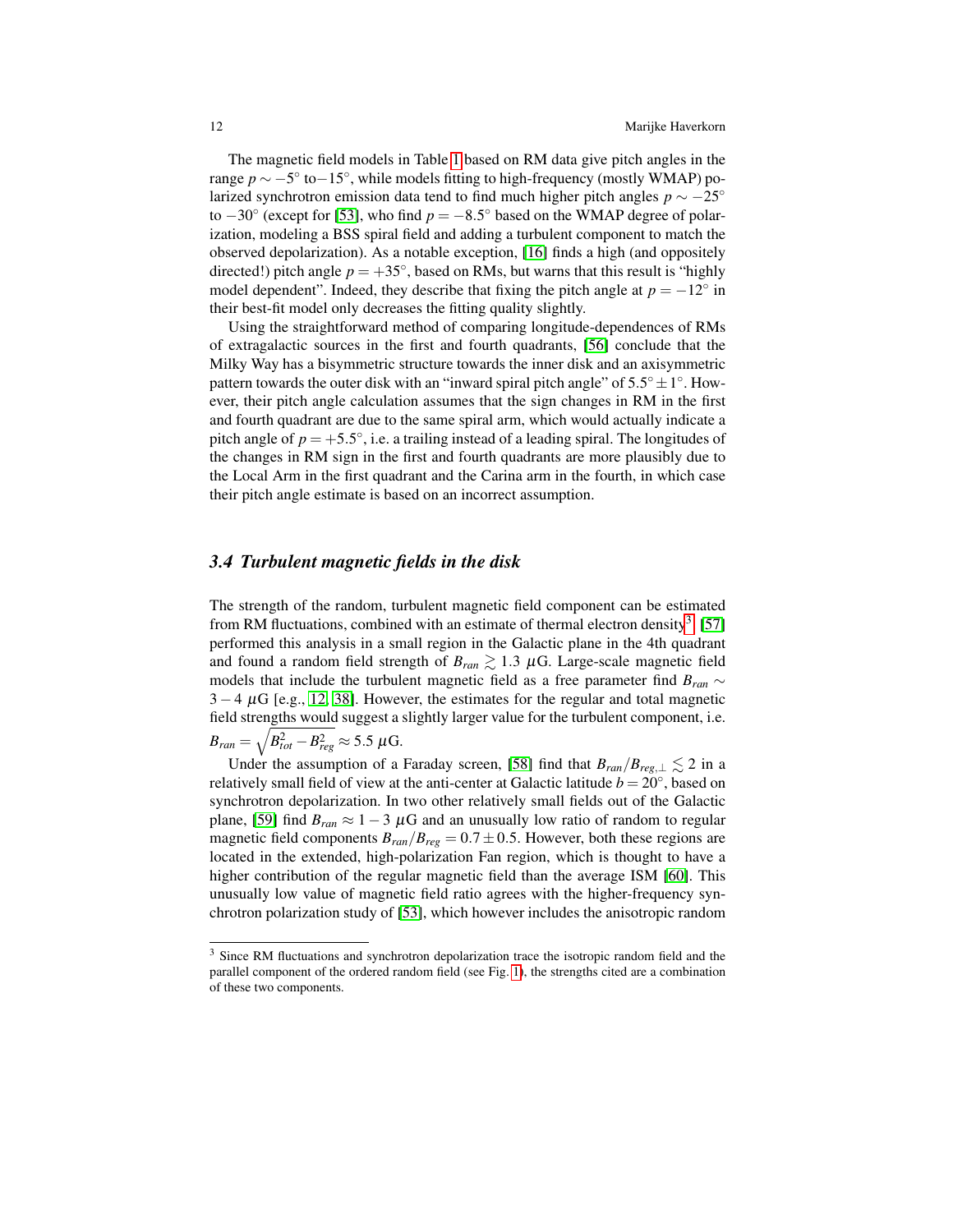The magnetic field models in Table [1](#page-10-0) based on RM data give pitch angles in the range *p* ∼ −5° to−15°, while models fitting to high-frequency (mostly WMAP) polarized synchrotron emission data tend to find much higher pitch angles *p* ∼ −25◦ to  $-30^\circ$  (except for [\[53\]](#page-20-31), who find  $p = -8.5^\circ$  based on the WMAP degree of polarization, modeling a BSS spiral field and adding a turbulent component to match the observed depolarization). As a notable exception, [\[16\]](#page-19-15) finds a high (and oppositely directed!) pitch angle  $p = +35^\circ$ , based on RMs, but warns that this result is "highly" model dependent". Indeed, they describe that fixing the pitch angle at  $p = -12°$  in their best-fit model only decreases the fitting quality slightly.

Using the straightforward method of comparing longitude-dependences of RMs of extragalactic sources in the first and fourth quadrants, [\[56\]](#page-21-0) conclude that the Milky Way has a bisymmetric structure towards the inner disk and an axisymmetric pattern towards the outer disk with an "inward spiral pitch angle" of  $5.5^{\circ} \pm 1^{\circ}$ . However, their pitch angle calculation assumes that the sign changes in RM in the first and fourth quadrant are due to the same spiral arm, which would actually indicate a pitch angle of  $p = +5.5^{\circ}$ , i.e. a trailing instead of a leading spiral. The longitudes of the changes in RM sign in the first and fourth quadrants are more plausibly due to the Local Arm in the first quadrant and the Carina arm in the fourth, in which case their pitch angle estimate is based on an incorrect assumption.

#### *3.4 Turbulent magnetic fields in the disk*

The strength of the random, turbulent magnetic field component can be estimated from RM fluctuations, combined with an estimate of thermal electron density<sup>[3](#page-11-0)</sup>. [\[57\]](#page-21-1) performed this analysis in a small region in the Galactic plane in the 4th quadrant and found a random field strength of  $B_{ran} \gtrsim 1.3 \mu$ G. Large-scale magnetic field models that include the turbulent magnetic field as a free parameter find  $B_{ran} \sim$  $3 - 4 \mu$ G [e.g., [12,](#page-19-11) [38\]](#page-20-16). However, the estimates for the regular and total magnetic field strengths would suggest a slightly larger value for the turbulent component, i.e.  $B_{ran} = \sqrt{B_{tot}^2 - B_{reg}^2} \approx 5.5 \; \mu \text{G}.$ 

Under the assumption of a Faraday screen, [\[58\]](#page-21-2) find that  $B_{ran}/B_{reg,\perp} \lesssim 2$  in a relatively small field of view at the anti-center at Galactic latitude  $b = 20^\circ$ , based on synchrotron depolarization. In two other relatively small fields out of the Galactic plane, [\[59\]](#page-21-3) find  $B_{ran} \approx 1 - 3 \mu$ G and an unusually low ratio of random to regular magnetic field components  $B_{ran}/B_{reg} = 0.7 \pm 0.5$ . However, both these regions are located in the extended, high-polarization Fan region, which is thought to have a higher contribution of the regular magnetic field than the average ISM [\[60\]](#page-21-4). This unusually low value of magnetic field ratio agrees with the higher-frequency synchrotron polarization study of [\[53\]](#page-20-31), which however includes the anisotropic random

<span id="page-11-0"></span><sup>&</sup>lt;sup>3</sup> Since RM fluctuations and synchrotron depolarization trace the isotropic random field and the parallel component of the ordered random field (see Fig. [1\)](#page-3-0), the strengths cited are a combination of these two components.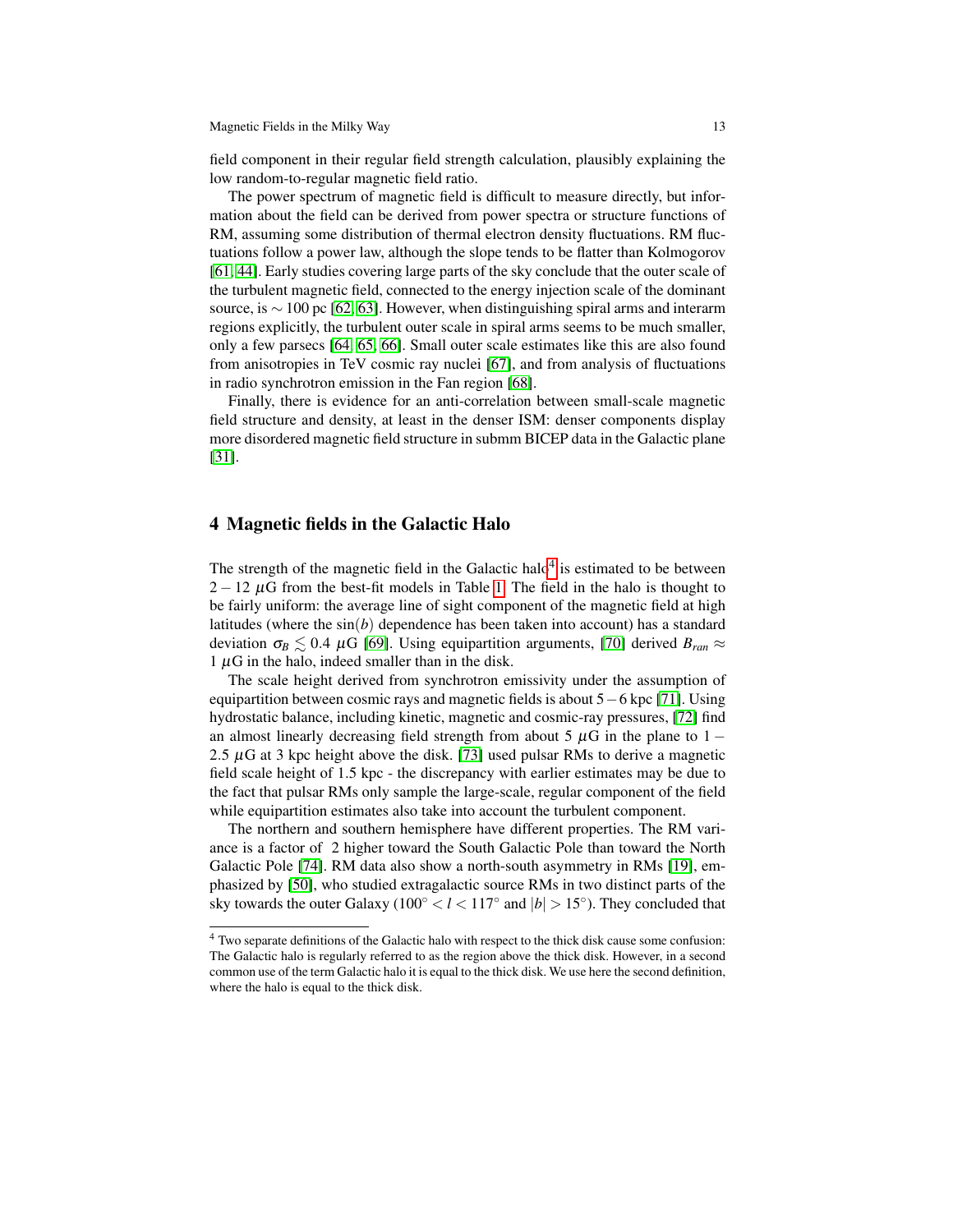field component in their regular field strength calculation, plausibly explaining the low random-to-regular magnetic field ratio.

The power spectrum of magnetic field is difficult to measure directly, but information about the field can be derived from power spectra or structure functions of RM, assuming some distribution of thermal electron density fluctuations. RM fluctuations follow a power law, although the slope tends to be flatter than Kolmogorov [\[61,](#page-21-5) [44\]](#page-20-22). Early studies covering large parts of the sky conclude that the outer scale of the turbulent magnetic field, connected to the energy injection scale of the dominant source, is ~ 100 pc [\[62,](#page-21-6) [63\]](#page-21-7). However, when distinguishing spiral arms and interarm regions explicitly, the turbulent outer scale in spiral arms seems to be much smaller, only a few parsecs [\[64,](#page-21-8) [65,](#page-21-9) [66\]](#page-21-10). Small outer scale estimates like this are also found from anisotropies in TeV cosmic ray nuclei [\[67\]](#page-21-11), and from analysis of fluctuations in radio synchrotron emission in the Fan region [\[68\]](#page-21-12).

Finally, there is evidence for an anti-correlation between small-scale magnetic field structure and density, at least in the denser ISM: denser components display more disordered magnetic field structure in submm BICEP data in the Galactic plane [\[31\]](#page-20-9).

#### <span id="page-12-0"></span>4 Magnetic fields in the Galactic Halo

The strength of the magnetic field in the Galactic halo<sup>[4](#page-12-1)</sup> is estimated to be between  $2 - 12 \mu$ G from the best-fit models in Table [1.](#page-10-0) The field in the halo is thought to be fairly uniform: the average line of sight component of the magnetic field at high latitudes (where the  $sin(b)$  dependence has been taken into account) has a standard deviation  $\sigma_B \lesssim 0.4 \mu$ G [\[69\]](#page-21-13). Using equipartition arguments, [\[70\]](#page-21-14) derived  $B_{ran} \approx$  $1 \mu$ G in the halo, indeed smaller than in the disk.

The scale height derived from synchrotron emissivity under the assumption of equipartition between cosmic rays and magnetic fields is about 5−6 kpc [\[71\]](#page-21-15). Using hydrostatic balance, including kinetic, magnetic and cosmic-ray pressures, [\[72\]](#page-21-16) find an almost linearly decreasing field strength from about 5  $\mu$ G in the plane to 1 − 2.5  $\mu$ G at 3 kpc height above the disk. [\[73\]](#page-21-17) used pulsar RMs to derive a magnetic field scale height of 1.5 kpc - the discrepancy with earlier estimates may be due to the fact that pulsar RMs only sample the large-scale, regular component of the field while equipartition estimates also take into account the turbulent component.

The northern and southern hemisphere have different properties. The RM variance is a factor of 2 higher toward the South Galactic Pole than toward the North Galactic Pole [\[74\]](#page-21-18). RM data also show a north-south asymmetry in RMs [\[19\]](#page-19-18), emphasized by [\[50\]](#page-20-28), who studied extragalactic source RMs in two distinct parts of the sky towards the outer Galaxy ( $100° < l < 117°$  and  $|b| > 15°$ ). They concluded that

<span id="page-12-1"></span><sup>4</sup> Two separate definitions of the Galactic halo with respect to the thick disk cause some confusion: The Galactic halo is regularly referred to as the region above the thick disk. However, in a second common use of the term Galactic halo it is equal to the thick disk. We use here the second definition, where the halo is equal to the thick disk.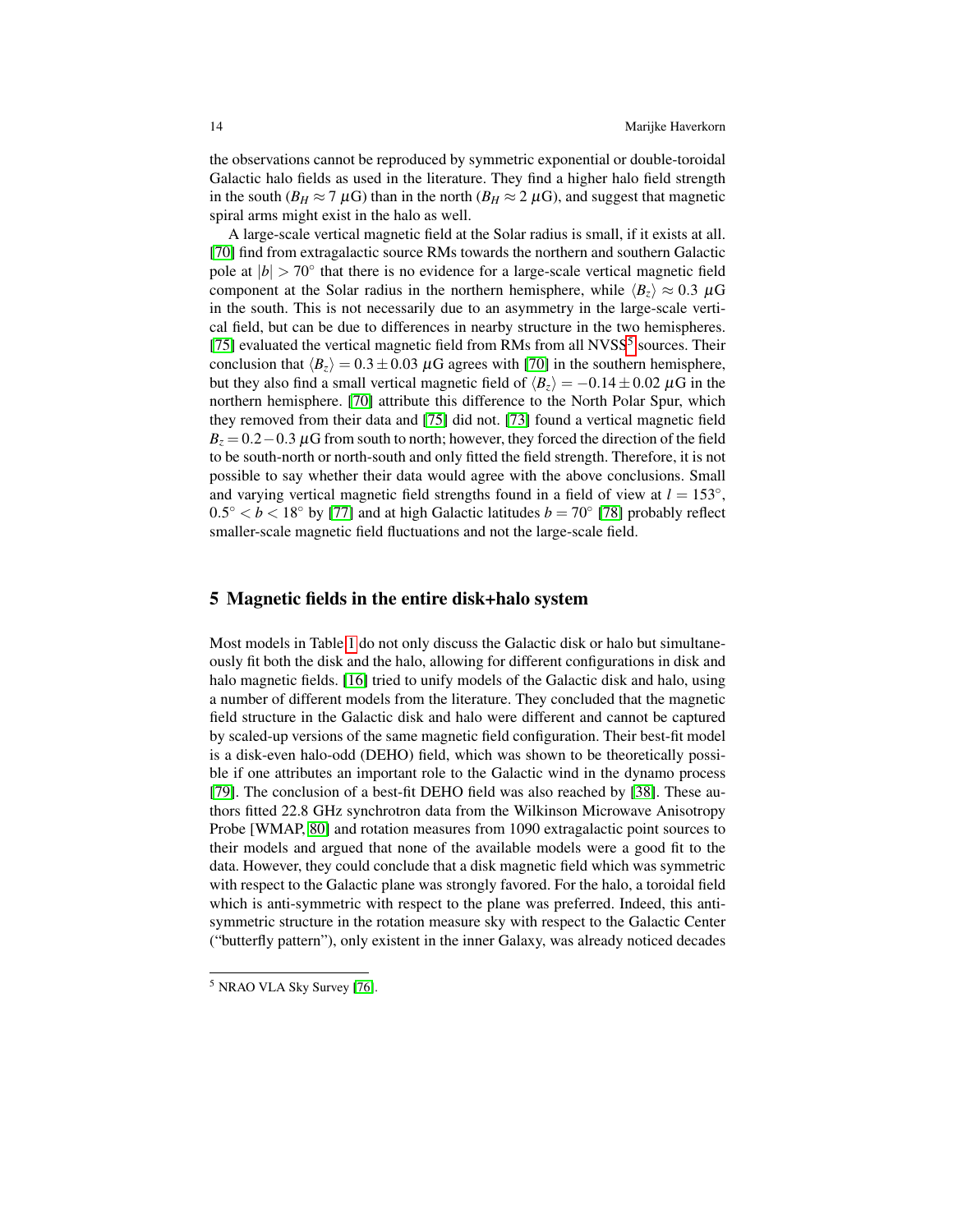the observations cannot be reproduced by symmetric exponential or double-toroidal Galactic halo fields as used in the literature. They find a higher halo field strength in the south ( $B_H \approx 7 \mu$ G) than in the north ( $B_H \approx 2 \mu$ G), and suggest that magnetic spiral arms might exist in the halo as well.

A large-scale vertical magnetic field at the Solar radius is small, if it exists at all. [\[70\]](#page-21-14) find from extragalactic source RMs towards the northern and southern Galactic pole at  $|b| > 70^\circ$  that there is no evidence for a large-scale vertical magnetic field component at the Solar radius in the northern hemisphere, while  $\langle B_z \rangle \approx 0.3 \mu$ G in the south. This is not necessarily due to an asymmetry in the large-scale vertical field, but can be due to differences in nearby structure in the two hemispheres. [\[75\]](#page-21-19) evaluated the vertical magnetic field from RMs from all  $NVSS<sup>5</sup>$  $NVSS<sup>5</sup>$  $NVSS<sup>5</sup>$  sources. Their conclusion that  $\langle B_z \rangle = 0.3 \pm 0.03 \mu$ G agrees with [\[70\]](#page-21-14) in the southern hemisphere, but they also find a small vertical magnetic field of  $\langle B_z \rangle = -0.14 \pm 0.02 \mu$ G in the northern hemisphere. [\[70\]](#page-21-14) attribute this difference to the North Polar Spur, which they removed from their data and [\[75\]](#page-21-19) did not. [\[73\]](#page-21-17) found a vertical magnetic field  $B_7 = 0.2 - 0.3 \mu$ G from south to north; however, they forced the direction of the field to be south-north or north-south and only fitted the field strength. Therefore, it is not possible to say whether their data would agree with the above conclusions. Small and varying vertical magnetic field strengths found in a field of view at  $l = 153^\circ$ ,  $0.5^{\circ} < b < 18^{\circ}$  by [\[77\]](#page-21-20) and at high Galactic latitudes  $b = 70^{\circ}$  [\[78\]](#page-21-21) probably reflect smaller-scale magnetic field fluctuations and not the large-scale field.

#### <span id="page-13-0"></span>5 Magnetic fields in the entire disk+halo system

Most models in Table [1](#page-10-0) do not only discuss the Galactic disk or halo but simultaneously fit both the disk and the halo, allowing for different configurations in disk and halo magnetic fields. [\[16\]](#page-19-15) tried to unify models of the Galactic disk and halo, using a number of different models from the literature. They concluded that the magnetic field structure in the Galactic disk and halo were different and cannot be captured by scaled-up versions of the same magnetic field configuration. Their best-fit model is a disk-even halo-odd (DEHO) field, which was shown to be theoretically possible if one attributes an important role to the Galactic wind in the dynamo process [\[79\]](#page-21-22). The conclusion of a best-fit DEHO field was also reached by [\[38\]](#page-20-16). These authors fitted 22.8 GHz synchrotron data from the Wilkinson Microwave Anisotropy Probe [WMAP, [80\]](#page-21-23) and rotation measures from 1090 extragalactic point sources to their models and argued that none of the available models were a good fit to the data. However, they could conclude that a disk magnetic field which was symmetric with respect to the Galactic plane was strongly favored. For the halo, a toroidal field which is anti-symmetric with respect to the plane was preferred. Indeed, this antisymmetric structure in the rotation measure sky with respect to the Galactic Center ("butterfly pattern"), only existent in the inner Galaxy, was already noticed decades

<span id="page-13-1"></span><sup>5</sup> NRAO VLA Sky Survey [\[76\]](#page-21-24).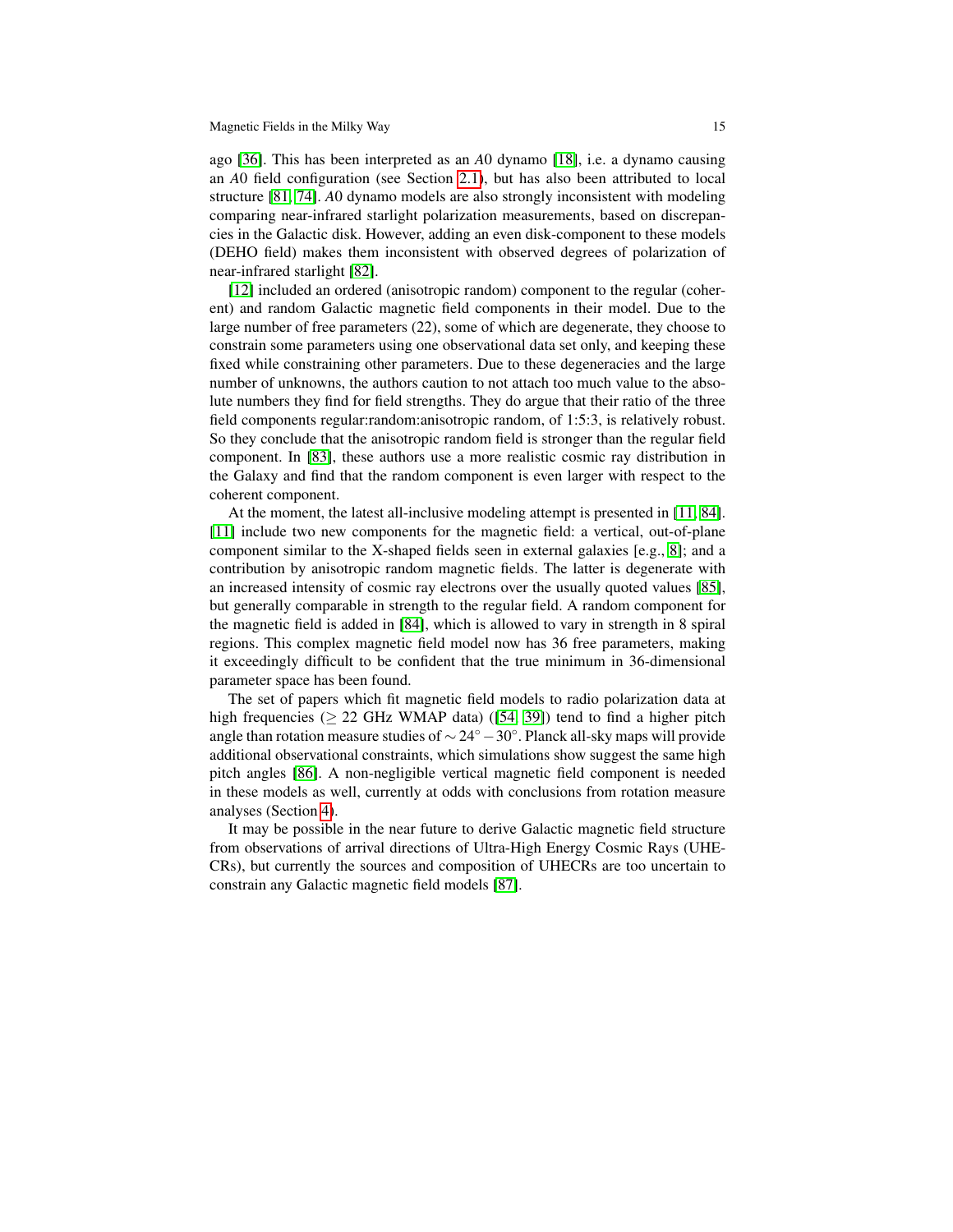ago [\[36\]](#page-20-14). This has been interpreted as an *A*0 dynamo [\[18\]](#page-19-17), i.e. a dynamo causing an *A*0 field configuration (see Section [2.1\)](#page-2-2), but has also been attributed to local structure [\[81,](#page-21-25) [74\]](#page-21-18). *A*0 dynamo models are also strongly inconsistent with modeling comparing near-infrared starlight polarization measurements, based on discrepancies in the Galactic disk. However, adding an even disk-component to these models (DEHO field) makes them inconsistent with observed degrees of polarization of near-infrared starlight [\[82\]](#page-21-26).

[\[12\]](#page-19-11) included an ordered (anisotropic random) component to the regular (coherent) and random Galactic magnetic field components in their model. Due to the large number of free parameters (22), some of which are degenerate, they choose to constrain some parameters using one observational data set only, and keeping these fixed while constraining other parameters. Due to these degeneracies and the large number of unknowns, the authors caution to not attach too much value to the absolute numbers they find for field strengths. They do argue that their ratio of the three field components regular:random:anisotropic random, of 1:5:3, is relatively robust. So they conclude that the anisotropic random field is stronger than the regular field component. In [\[83\]](#page-21-27), these authors use a more realistic cosmic ray distribution in the Galaxy and find that the random component is even larger with respect to the coherent component.

At the moment, the latest all-inclusive modeling attempt is presented in [\[11,](#page-19-10) [84\]](#page-21-28). [\[11\]](#page-19-10) include two new components for the magnetic field: a vertical, out-of-plane component similar to the X-shaped fields seen in external galaxies [e.g., [8\]](#page-19-7); and a contribution by anisotropic random magnetic fields. The latter is degenerate with an increased intensity of cosmic ray electrons over the usually quoted values [\[85\]](#page-21-29), but generally comparable in strength to the regular field. A random component for the magnetic field is added in [\[84\]](#page-21-28), which is allowed to vary in strength in 8 spiral regions. This complex magnetic field model now has 36 free parameters, making it exceedingly difficult to be confident that the true minimum in 36-dimensional parameter space has been found.

The set of papers which fit magnetic field models to radio polarization data at high frequencies ( $\geq$  22 GHz WMAP data) ([\[54,](#page-20-32) [39\]](#page-20-17)) tend to find a higher pitch angle than rotation measure studies of  $\sim 24^{\circ} - 30^{\circ}$ . Planck all-sky maps will provide additional observational constraints, which simulations show suggest the same high pitch angles [\[86\]](#page-21-30). A non-negligible vertical magnetic field component is needed in these models as well, currently at odds with conclusions from rotation measure analyses (Section [4\)](#page-12-0).

It may be possible in the near future to derive Galactic magnetic field structure from observations of arrival directions of Ultra-High Energy Cosmic Rays (UHE-CRs), but currently the sources and composition of UHECRs are too uncertain to constrain any Galactic magnetic field models [\[87\]](#page-21-31).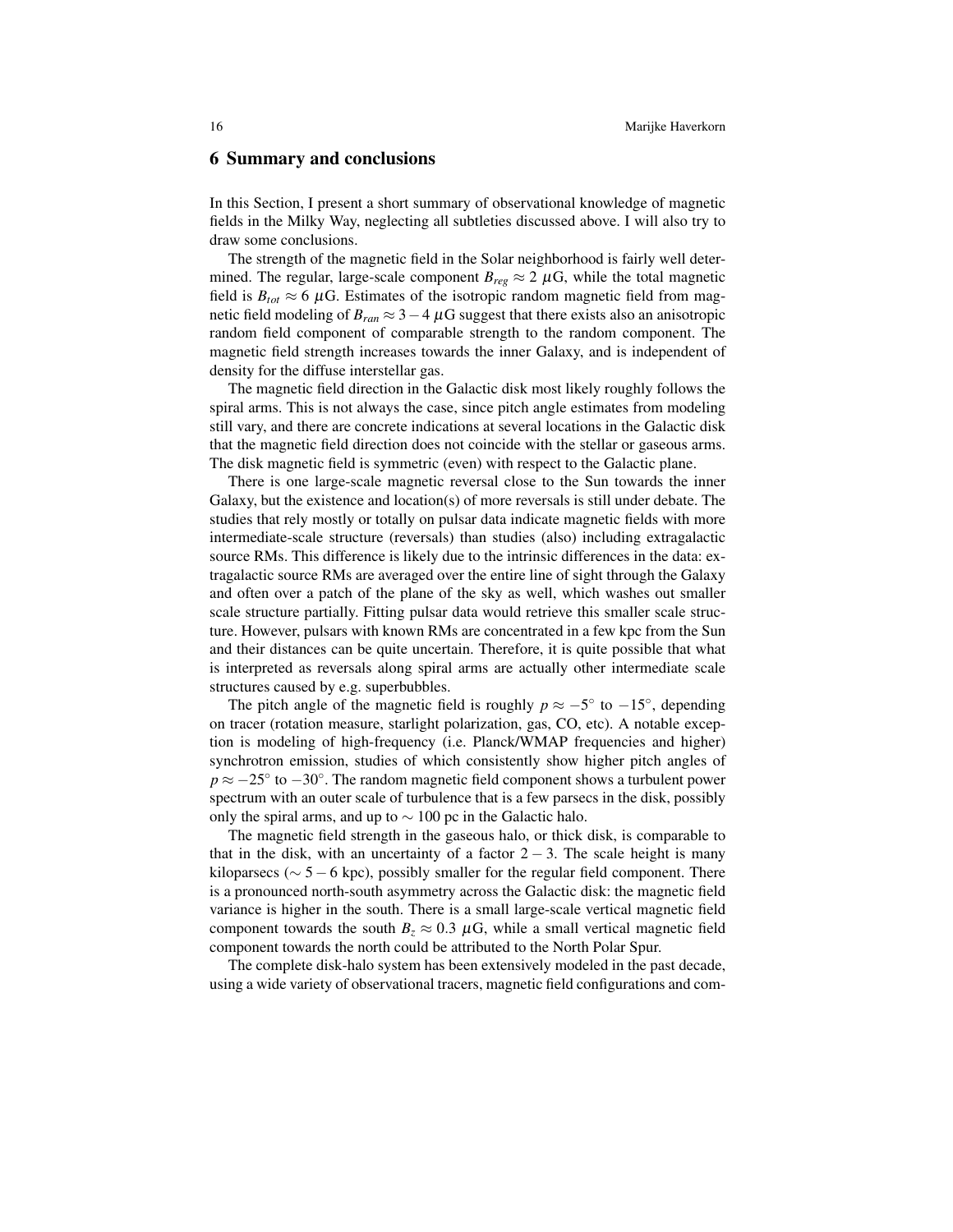#### <span id="page-15-0"></span>6 Summary and conclusions

In this Section, I present a short summary of observational knowledge of magnetic fields in the Milky Way, neglecting all subtleties discussed above. I will also try to draw some conclusions.

The strength of the magnetic field in the Solar neighborhood is fairly well determined. The regular, large-scale component  $B_{reg} \approx 2 \mu$ G, while the total magnetic field is  $B_{tot} \approx 6 \mu$ G. Estimates of the isotropic random magnetic field from magnetic field modeling of  $B_{ran} \approx 3-4 \mu$ G suggest that there exists also an anisotropic random field component of comparable strength to the random component. The magnetic field strength increases towards the inner Galaxy, and is independent of density for the diffuse interstellar gas.

The magnetic field direction in the Galactic disk most likely roughly follows the spiral arms. This is not always the case, since pitch angle estimates from modeling still vary, and there are concrete indications at several locations in the Galactic disk that the magnetic field direction does not coincide with the stellar or gaseous arms. The disk magnetic field is symmetric (even) with respect to the Galactic plane.

There is one large-scale magnetic reversal close to the Sun towards the inner Galaxy, but the existence and location(s) of more reversals is still under debate. The studies that rely mostly or totally on pulsar data indicate magnetic fields with more intermediate-scale structure (reversals) than studies (also) including extragalactic source RMs. This difference is likely due to the intrinsic differences in the data: extragalactic source RMs are averaged over the entire line of sight through the Galaxy and often over a patch of the plane of the sky as well, which washes out smaller scale structure partially. Fitting pulsar data would retrieve this smaller scale structure. However, pulsars with known RMs are concentrated in a few kpc from the Sun and their distances can be quite uncertain. Therefore, it is quite possible that what is interpreted as reversals along spiral arms are actually other intermediate scale structures caused by e.g. superbubbles.

The pitch angle of the magnetic field is roughly  $p \approx -5^\circ$  to  $-15^\circ$ , depending on tracer (rotation measure, starlight polarization, gas, CO, etc). A notable exception is modeling of high-frequency (i.e. Planck/WMAP frequencies and higher) synchrotron emission, studies of which consistently show higher pitch angles of  $p \approx -25^\circ$  to  $-30^\circ$ . The random magnetic field component shows a turbulent power spectrum with an outer scale of turbulence that is a few parsecs in the disk, possibly only the spiral arms, and up to  $\sim$  100 pc in the Galactic halo.

The magnetic field strength in the gaseous halo, or thick disk, is comparable to that in the disk, with an uncertainty of a factor  $2 - 3$ . The scale height is many kiloparsecs ( $\sim$  5 − 6 kpc), possibly smaller for the regular field component. There is a pronounced north-south asymmetry across the Galactic disk: the magnetic field variance is higher in the south. There is a small large-scale vertical magnetic field component towards the south  $B_z \approx 0.3 \mu$ G, while a small vertical magnetic field component towards the north could be attributed to the North Polar Spur.

The complete disk-halo system has been extensively modeled in the past decade, using a wide variety of observational tracers, magnetic field configurations and com-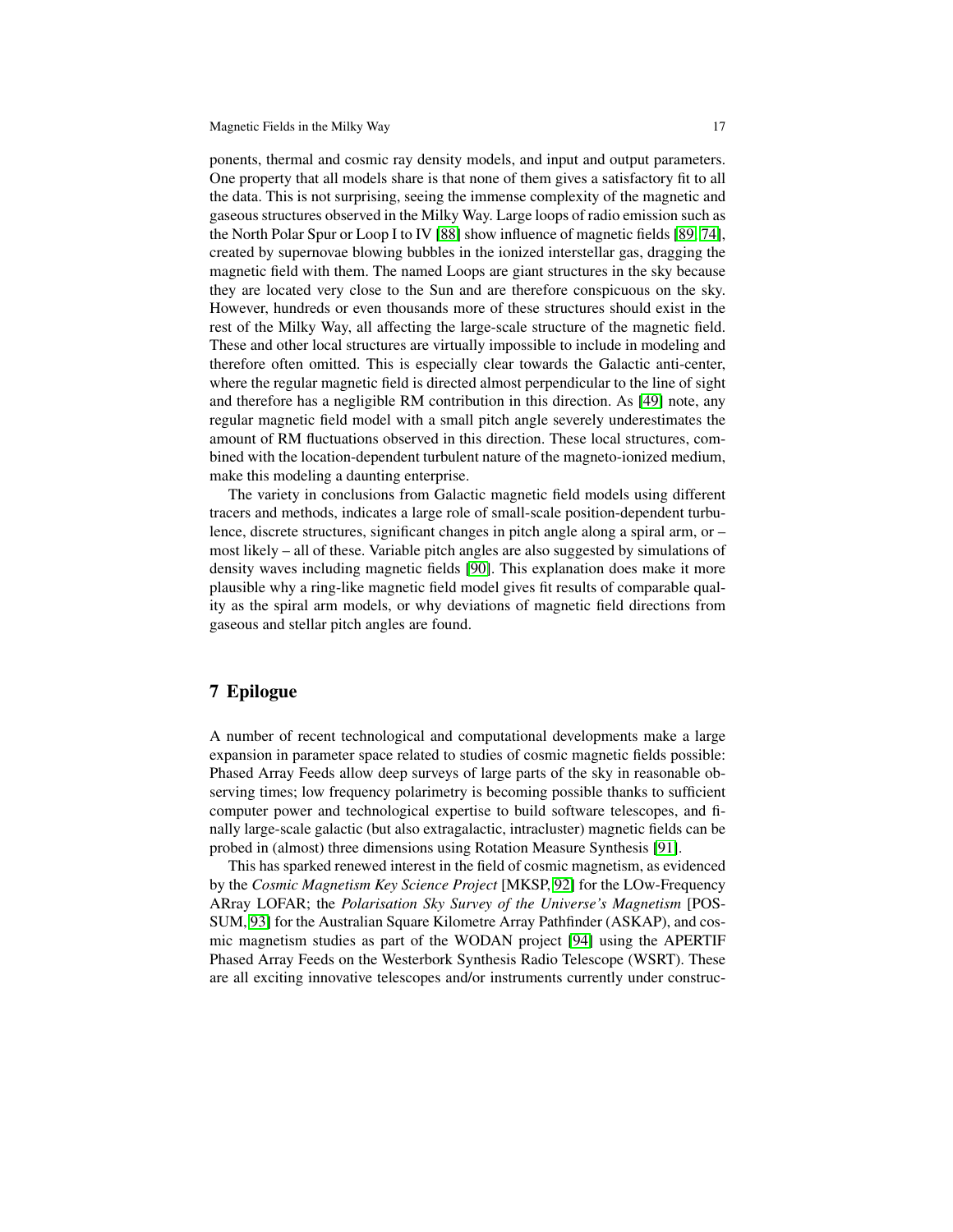ponents, thermal and cosmic ray density models, and input and output parameters. One property that all models share is that none of them gives a satisfactory fit to all the data. This is not surprising, seeing the immense complexity of the magnetic and gaseous structures observed in the Milky Way. Large loops of radio emission such as the North Polar Spur or Loop I to IV [\[88\]](#page-21-32) show influence of magnetic fields [\[89,](#page-22-0) [74\]](#page-21-18), created by supernovae blowing bubbles in the ionized interstellar gas, dragging the magnetic field with them. The named Loops are giant structures in the sky because they are located very close to the Sun and are therefore conspicuous on the sky. However, hundreds or even thousands more of these structures should exist in the rest of the Milky Way, all affecting the large-scale structure of the magnetic field. These and other local structures are virtually impossible to include in modeling and therefore often omitted. This is especially clear towards the Galactic anti-center, where the regular magnetic field is directed almost perpendicular to the line of sight and therefore has a negligible RM contribution in this direction. As [\[49\]](#page-20-27) note, any regular magnetic field model with a small pitch angle severely underestimates the amount of RM fluctuations observed in this direction. These local structures, combined with the location-dependent turbulent nature of the magneto-ionized medium, make this modeling a daunting enterprise.

The variety in conclusions from Galactic magnetic field models using different tracers and methods, indicates a large role of small-scale position-dependent turbulence, discrete structures, significant changes in pitch angle along a spiral arm, or – most likely – all of these. Variable pitch angles are also suggested by simulations of density waves including magnetic fields [\[90\]](#page-22-1). This explanation does make it more plausible why a ring-like magnetic field model gives fit results of comparable quality as the spiral arm models, or why deviations of magnetic field directions from gaseous and stellar pitch angles are found.

### <span id="page-16-0"></span>7 Epilogue

A number of recent technological and computational developments make a large expansion in parameter space related to studies of cosmic magnetic fields possible: Phased Array Feeds allow deep surveys of large parts of the sky in reasonable observing times; low frequency polarimetry is becoming possible thanks to sufficient computer power and technological expertise to build software telescopes, and finally large-scale galactic (but also extragalactic, intracluster) magnetic fields can be probed in (almost) three dimensions using Rotation Measure Synthesis [\[91\]](#page-22-2).

This has sparked renewed interest in the field of cosmic magnetism, as evidenced by the *Cosmic Magnetism Key Science Project* [MKSP, [92\]](#page-22-3) for the LOw-Frequency ARray LOFAR; the *Polarisation Sky Survey of the Universe's Magnetism* [POS-SUM, [93\]](#page-22-4) for the Australian Square Kilometre Array Pathfinder (ASKAP), and cosmic magnetism studies as part of the WODAN project [\[94\]](#page-22-5) using the APERTIF Phased Array Feeds on the Westerbork Synthesis Radio Telescope (WSRT). These are all exciting innovative telescopes and/or instruments currently under construc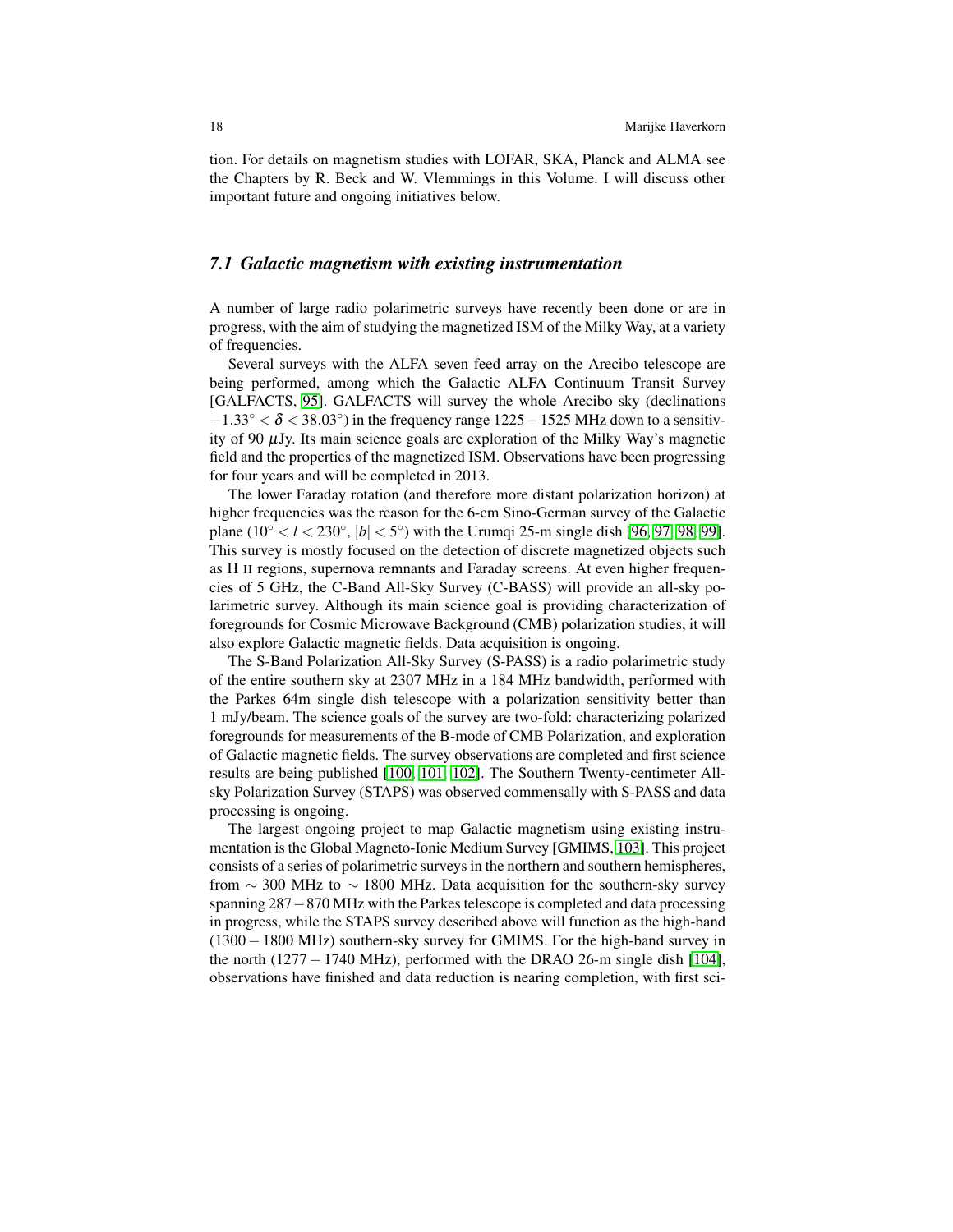tion. For details on magnetism studies with LOFAR, SKA, Planck and ALMA see the Chapters by R. Beck and W. Vlemmings in this Volume. I will discuss other important future and ongoing initiatives below.

#### *7.1 Galactic magnetism with existing instrumentation*

A number of large radio polarimetric surveys have recently been done or are in progress, with the aim of studying the magnetized ISM of the Milky Way, at a variety of frequencies.

Several surveys with the ALFA seven feed array on the Arecibo telescope are being performed, among which the Galactic ALFA Continuum Transit Survey [GALFACTS, [95\]](#page-22-6). GALFACTS will survey the whole Arecibo sky (declinations  $-1.33° < \delta < 38.03°$ ) in the frequency range 1225 – 1525 MHz down to a sensitivity of 90  $\mu$ Jy. Its main science goals are exploration of the Milky Way's magnetic field and the properties of the magnetized ISM. Observations have been progressing for four years and will be completed in 2013.

The lower Faraday rotation (and therefore more distant polarization horizon) at higher frequencies was the reason for the 6-cm Sino-German survey of the Galactic plane  $(10<sup>°</sup> < l < 230<sup>°</sup>, |b| < 5<sup>°</sup>)$  with the Urumqi 25-m single dish [\[96,](#page-22-7) [97,](#page-22-8) [98,](#page-22-9) [99\]](#page-22-10). This survey is mostly focused on the detection of discrete magnetized objects such as H II regions, supernova remnants and Faraday screens. At even higher frequencies of 5 GHz, the C-Band All-Sky Survey (C-BASS) will provide an all-sky polarimetric survey. Although its main science goal is providing characterization of foregrounds for Cosmic Microwave Background (CMB) polarization studies, it will also explore Galactic magnetic fields. Data acquisition is ongoing.

The S-Band Polarization All-Sky Survey (S-PASS) is a radio polarimetric study of the entire southern sky at 2307 MHz in a 184 MHz bandwidth, performed with the Parkes 64m single dish telescope with a polarization sensitivity better than 1 mJy/beam. The science goals of the survey are two-fold: characterizing polarized foregrounds for measurements of the B-mode of CMB Polarization, and exploration of Galactic magnetic fields. The survey observations are completed and first science results are being published [\[100,](#page-22-11) [101,](#page-22-12) [102\]](#page-22-13). The Southern Twenty-centimeter Allsky Polarization Survey (STAPS) was observed commensally with S-PASS and data processing is ongoing.

The largest ongoing project to map Galactic magnetism using existing instrumentation is the Global Magneto-Ionic Medium Survey [GMIMS, [103\]](#page-22-14). This project consists of a series of polarimetric surveys in the northern and southern hemispheres, from  $\sim$  300 MHz to  $\sim$  1800 MHz. Data acquisition for the southern-sky survey spanning 287−870 MHz with the Parkes telescope is completed and data processing in progress, while the STAPS survey described above will function as the high-band (1300−1800 MHz) southern-sky survey for GMIMS. For the high-band survey in the north (1277  $-$  1740 MHz), performed with the DRAO 26-m single dish [\[104\]](#page-22-15), observations have finished and data reduction is nearing completion, with first sci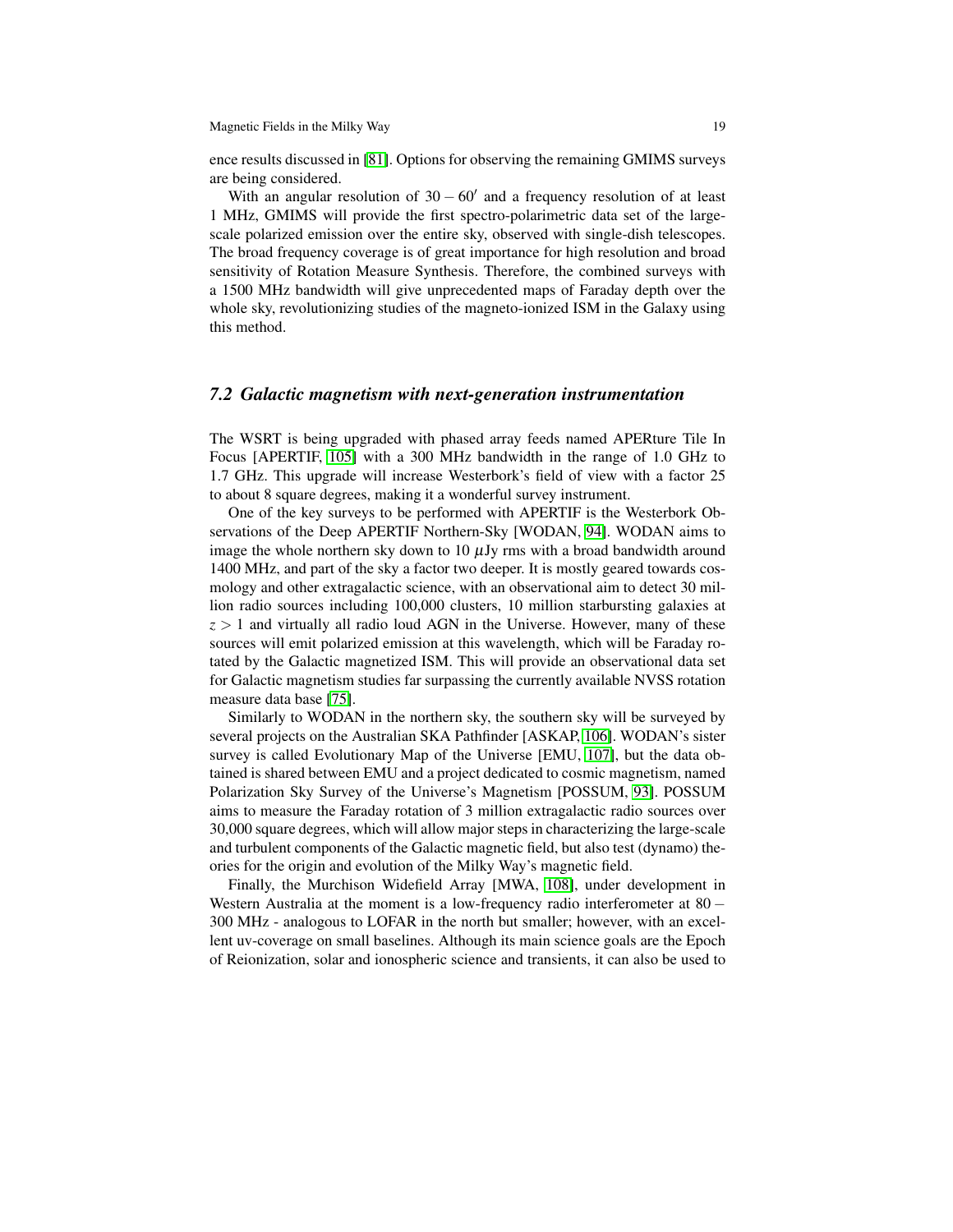ence results discussed in [\[81\]](#page-21-25). Options for observing the remaining GMIMS surveys are being considered.

With an angular resolution of  $30 - 60'$  and a frequency resolution of at least 1 MHz, GMIMS will provide the first spectro-polarimetric data set of the largescale polarized emission over the entire sky, observed with single-dish telescopes. The broad frequency coverage is of great importance for high resolution and broad sensitivity of Rotation Measure Synthesis. Therefore, the combined surveys with a 1500 MHz bandwidth will give unprecedented maps of Faraday depth over the whole sky, revolutionizing studies of the magneto-ionized ISM in the Galaxy using this method.

#### *7.2 Galactic magnetism with next-generation instrumentation*

The WSRT is being upgraded with phased array feeds named APERture Tile In Focus [APERTIF, [105\]](#page-22-16) with a 300 MHz bandwidth in the range of 1.0 GHz to 1.7 GHz. This upgrade will increase Westerbork's field of view with a factor 25 to about 8 square degrees, making it a wonderful survey instrument.

One of the key surveys to be performed with APERTIF is the Westerbork Observations of the Deep APERTIF Northern-Sky [WODAN, [94\]](#page-22-5). WODAN aims to image the whole northern sky down to 10  $\mu$ Jy rms with a broad bandwidth around 1400 MHz, and part of the sky a factor two deeper. It is mostly geared towards cosmology and other extragalactic science, with an observational aim to detect 30 million radio sources including 100,000 clusters, 10 million starbursting galaxies at  $z > 1$  and virtually all radio loud AGN in the Universe. However, many of these sources will emit polarized emission at this wavelength, which will be Faraday rotated by the Galactic magnetized ISM. This will provide an observational data set for Galactic magnetism studies far surpassing the currently available NVSS rotation measure data base [\[75\]](#page-21-19).

Similarly to WODAN in the northern sky, the southern sky will be surveyed by several projects on the Australian SKA Pathfinder [ASKAP, [106\]](#page-22-17). WODAN's sister survey is called Evolutionary Map of the Universe [EMU, [107\]](#page-22-18), but the data obtained is shared between EMU and a project dedicated to cosmic magnetism, named Polarization Sky Survey of the Universe's Magnetism [POSSUM, [93\]](#page-22-4). POSSUM aims to measure the Faraday rotation of 3 million extragalactic radio sources over 30,000 square degrees, which will allow major steps in characterizing the large-scale and turbulent components of the Galactic magnetic field, but also test (dynamo) theories for the origin and evolution of the Milky Way's magnetic field.

Finally, the Murchison Widefield Array [MWA, [108\]](#page-22-19), under development in Western Australia at the moment is a low-frequency radio interferometer at 80 − 300 MHz - analogous to LOFAR in the north but smaller; however, with an excellent uv-coverage on small baselines. Although its main science goals are the Epoch of Reionization, solar and ionospheric science and transients, it can also be used to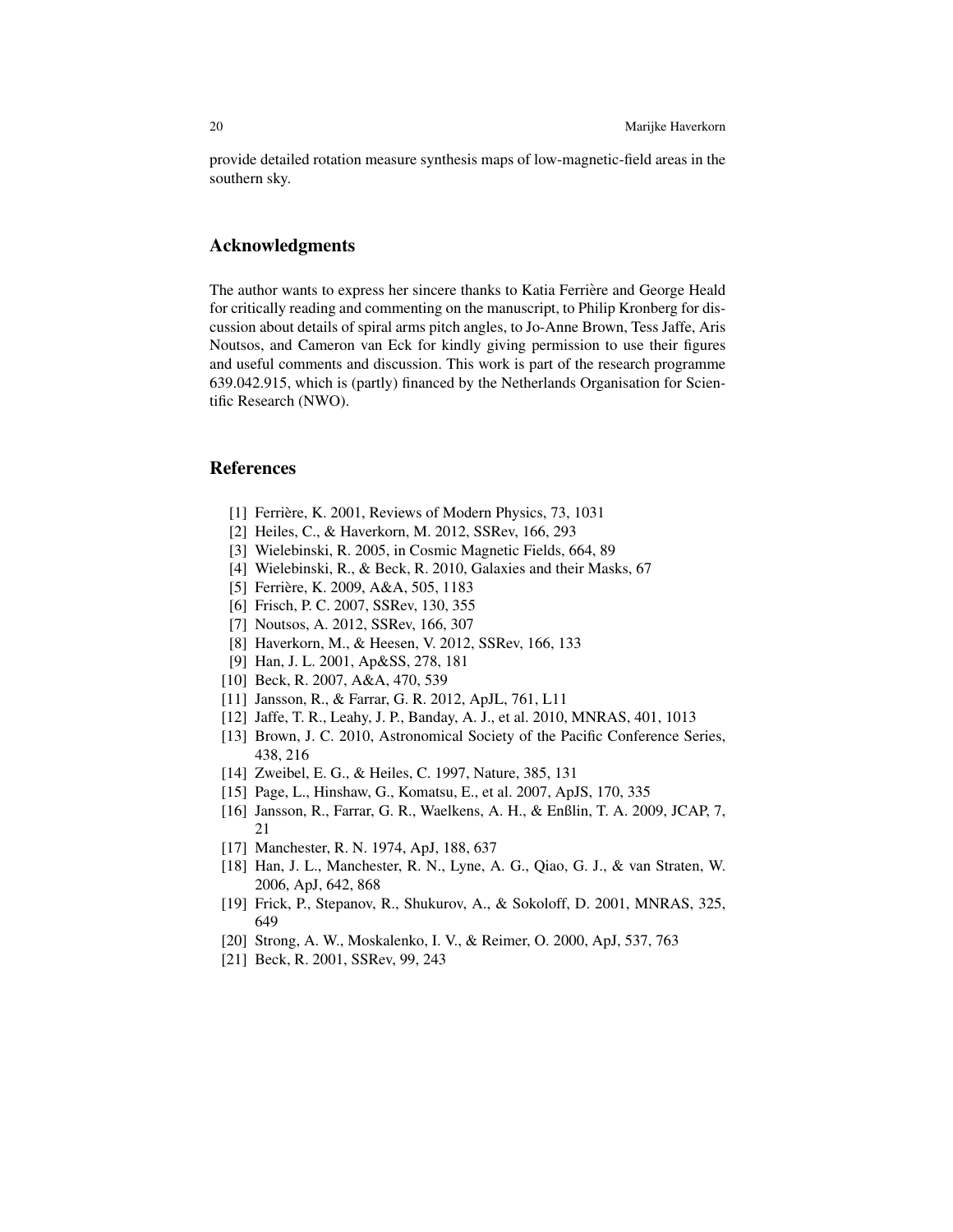provide detailed rotation measure synthesis maps of low-magnetic-field areas in the southern sky.

#### Acknowledgments

The author wants to express her sincere thanks to Katia Ferrière and George Heald for critically reading and commenting on the manuscript, to Philip Kronberg for discussion about details of spiral arms pitch angles, to Jo-Anne Brown, Tess Jaffe, Aris Noutsos, and Cameron van Eck for kindly giving permission to use their figures and useful comments and discussion. This work is part of the research programme 639.042.915, which is (partly) financed by the Netherlands Organisation for Scientific Research (NWO).

#### References

- <span id="page-19-0"></span>[1] Ferrière, K. 2001, Reviews of Modern Physics, 73, 1031
- <span id="page-19-1"></span>[2] Heiles, C., & Haverkorn, M. 2012, SSRev, 166, 293
- <span id="page-19-2"></span>[3] Wielebinski, R. 2005, in Cosmic Magnetic Fields, 664, 89
- <span id="page-19-3"></span>[4] Wielebinski, R., & Beck, R. 2010, Galaxies and their Masks, 67
- <span id="page-19-4"></span>[5] Ferrière, K. 2009, A&A, 505, 1183
- <span id="page-19-5"></span>[6] Frisch, P. C. 2007, SSRev, 130, 355
- <span id="page-19-6"></span>[7] Noutsos, A. 2012, SSRev, 166, 307
- <span id="page-19-7"></span>[8] Haverkorn, M., & Heesen, V. 2012, SSRev, 166, 133
- <span id="page-19-8"></span>[9] Han, J. L. 2001, Ap&SS, 278, 181
- <span id="page-19-9"></span>[10] Beck, R. 2007, A&A, 470, 539
- <span id="page-19-10"></span>[11] Jansson, R., & Farrar, G. R. 2012, ApJL, 761, L11
- <span id="page-19-11"></span>[12] Jaffe, T. R., Leahy, J. P., Banday, A. J., et al. 2010, MNRAS, 401, 1013
- <span id="page-19-12"></span>[13] Brown, J. C. 2010, Astronomical Society of the Pacific Conference Series, 438, 216
- <span id="page-19-13"></span>[14] Zweibel, E. G., & Heiles, C. 1997, Nature, 385, 131
- <span id="page-19-14"></span>[15] Page, L., Hinshaw, G., Komatsu, E., et al. 2007, ApJS, 170, 335
- <span id="page-19-15"></span>[16] Jansson, R., Farrar, G. R., Waelkens, A. H., & Enßlin, T. A. 2009, JCAP, 7, 21
- <span id="page-19-16"></span>[17] Manchester, R. N. 1974, ApJ, 188, 637
- <span id="page-19-17"></span>[18] Han, J. L., Manchester, R. N., Lyne, A. G., Qiao, G. J., & van Straten, W. 2006, ApJ, 642, 868
- <span id="page-19-18"></span>[19] Frick, P., Stepanov, R., Shukurov, A., & Sokoloff, D. 2001, MNRAS, 325, 649
- <span id="page-19-19"></span>[20] Strong, A. W., Moskalenko, I. V., & Reimer, O. 2000, ApJ, 537, 763
- <span id="page-19-20"></span>[21] Beck, R. 2001, SSRev, 99, 243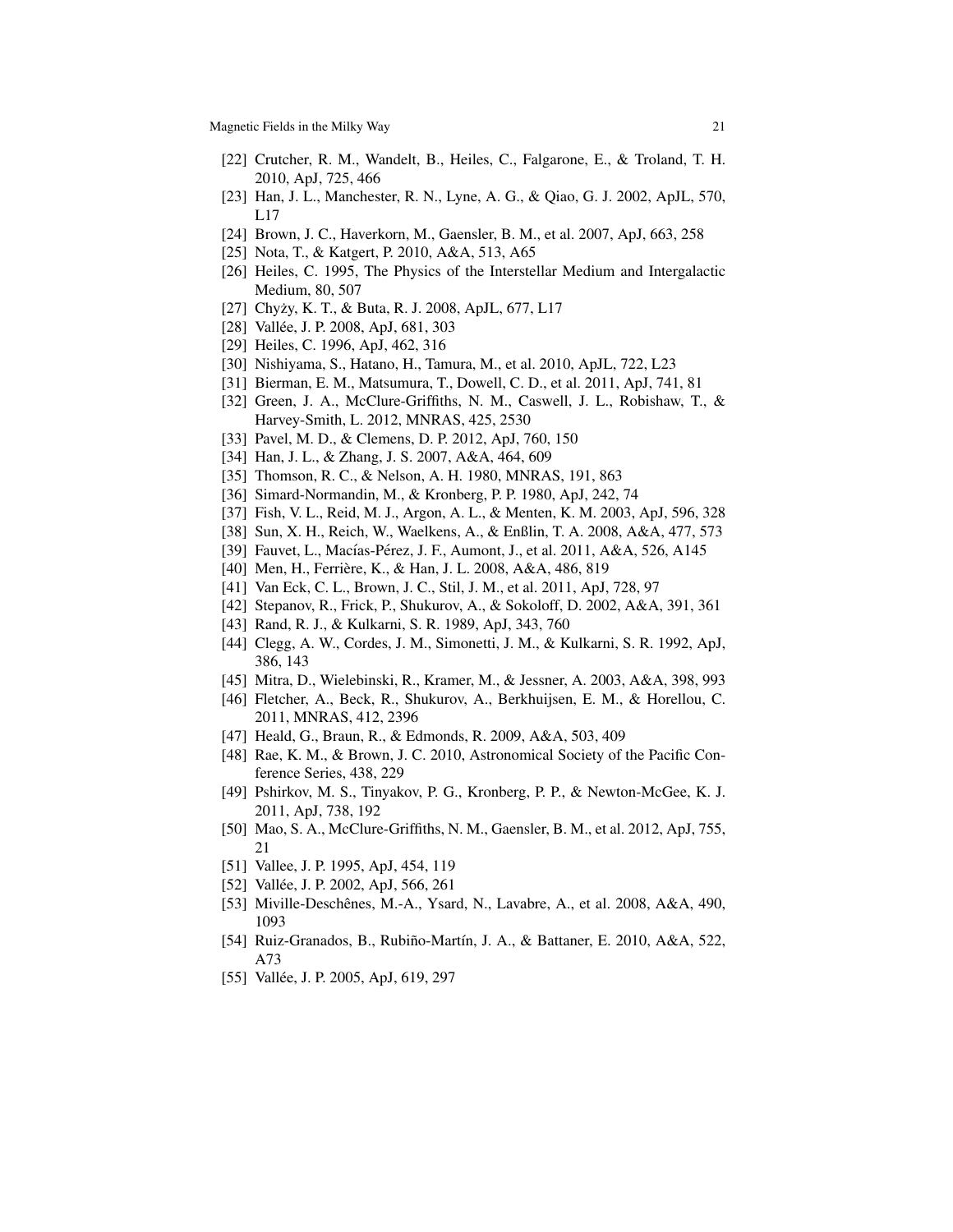- <span id="page-20-0"></span>[22] Crutcher, R. M., Wandelt, B., Heiles, C., Falgarone, E., & Troland, T. H. 2010, ApJ, 725, 466
- <span id="page-20-1"></span>[23] Han, J. L., Manchester, R. N., Lyne, A. G., & Qiao, G. J. 2002, ApJL, 570, L17
- <span id="page-20-2"></span>[24] Brown, J. C., Haverkorn, M., Gaensler, B. M., et al. 2007, ApJ, 663, 258
- <span id="page-20-3"></span>[25] Nota, T., & Katgert, P. 2010, A&A, 513, A65
- <span id="page-20-4"></span>[26] Heiles, C. 1995, The Physics of the Interstellar Medium and Intergalactic Medium, 80, 507
- <span id="page-20-5"></span>[27] Chyży, K. T., & Buta, R. J. 2008, ApJL, 677, L17
- <span id="page-20-6"></span>[28] Vallée, J. P. 2008, ApJ, 681, 303
- <span id="page-20-7"></span>[29] Heiles, C. 1996, ApJ, 462, 316
- <span id="page-20-8"></span>[30] Nishiyama, S., Hatano, H., Tamura, M., et al. 2010, ApJL, 722, L23
- <span id="page-20-9"></span>[31] Bierman, E. M., Matsumura, T., Dowell, C. D., et al. 2011, ApJ, 741, 81
- <span id="page-20-10"></span>[32] Green, J. A., McClure-Griffiths, N. M., Caswell, J. L., Robishaw, T., & Harvey-Smith, L. 2012, MNRAS, 425, 2530
- <span id="page-20-11"></span>[33] Pavel, M. D., & Clemens, D. P. 2012, ApJ, 760, 150
- <span id="page-20-12"></span>[34] Han, J. L., & Zhang, J. S. 2007, A&A, 464, 609
- <span id="page-20-13"></span>[35] Thomson, R. C., & Nelson, A. H. 1980, MNRAS, 191, 863
- <span id="page-20-14"></span>[36] Simard-Normandin, M., & Kronberg, P. P. 1980, ApJ, 242, 74
- <span id="page-20-15"></span>[37] Fish, V. L., Reid, M. J., Argon, A. L., & Menten, K. M. 2003, ApJ, 596, 328
- <span id="page-20-16"></span>[38] Sun, X. H., Reich, W., Waelkens, A., & Enßlin, T. A. 2008, A&A, 477, 573
- <span id="page-20-17"></span>[39] Fauvet, L., Macías-Pérez, J. F., Aumont, J., et al. 2011, A&A, 526, A145
- <span id="page-20-18"></span>[40] Men, H., Ferrière, K., & Han, J. L. 2008, A&A, 486, 819
- <span id="page-20-19"></span>[41] Van Eck, C. L., Brown, J. C., Stil, J. M., et al. 2011, ApJ, 728, 97
- <span id="page-20-20"></span>[42] Stepanov, R., Frick, P., Shukurov, A., & Sokoloff, D. 2002, A&A, 391, 361
- <span id="page-20-21"></span>[43] Rand, R. J., & Kulkarni, S. R. 1989, ApJ, 343, 760
- <span id="page-20-22"></span>[44] Clegg, A. W., Cordes, J. M., Simonetti, J. M., & Kulkarni, S. R. 1992, ApJ, 386, 143
- <span id="page-20-23"></span>[45] Mitra, D., Wielebinski, R., Kramer, M., & Jessner, A. 2003, A&A, 398, 993
- <span id="page-20-24"></span>[46] Fletcher, A., Beck, R., Shukurov, A., Berkhuijsen, E. M., & Horellou, C. 2011, MNRAS, 412, 2396
- <span id="page-20-25"></span>[47] Heald, G., Braun, R., & Edmonds, R. 2009, A&A, 503, 409
- <span id="page-20-26"></span>[48] Rae, K. M., & Brown, J. C. 2010, Astronomical Society of the Pacific Conference Series, 438, 229
- <span id="page-20-27"></span>[49] Pshirkov, M. S., Tinyakov, P. G., Kronberg, P. P., & Newton-McGee, K. J. 2011, ApJ, 738, 192
- <span id="page-20-28"></span>[50] Mao, S. A., McClure-Griffiths, N. M., Gaensler, B. M., et al. 2012, ApJ, 755, 21
- <span id="page-20-29"></span>[51] Vallee, J. P. 1995, ApJ, 454, 119
- <span id="page-20-30"></span>[52] Vallée, J. P. 2002, ApJ, 566, 261
- <span id="page-20-31"></span>[53] Miville-Deschênes, M.-A., Ysard, N., Lavabre, A., et al.  $2008$ , A&A,  $490$ , 1093
- <span id="page-20-32"></span>[54] Ruiz-Granados, B., Rubiño-Martín, J. A., & Battaner, E. 2010, A&A, 522, A73
- <span id="page-20-33"></span>[55] Vallée, J. P. 2005, ApJ, 619, 297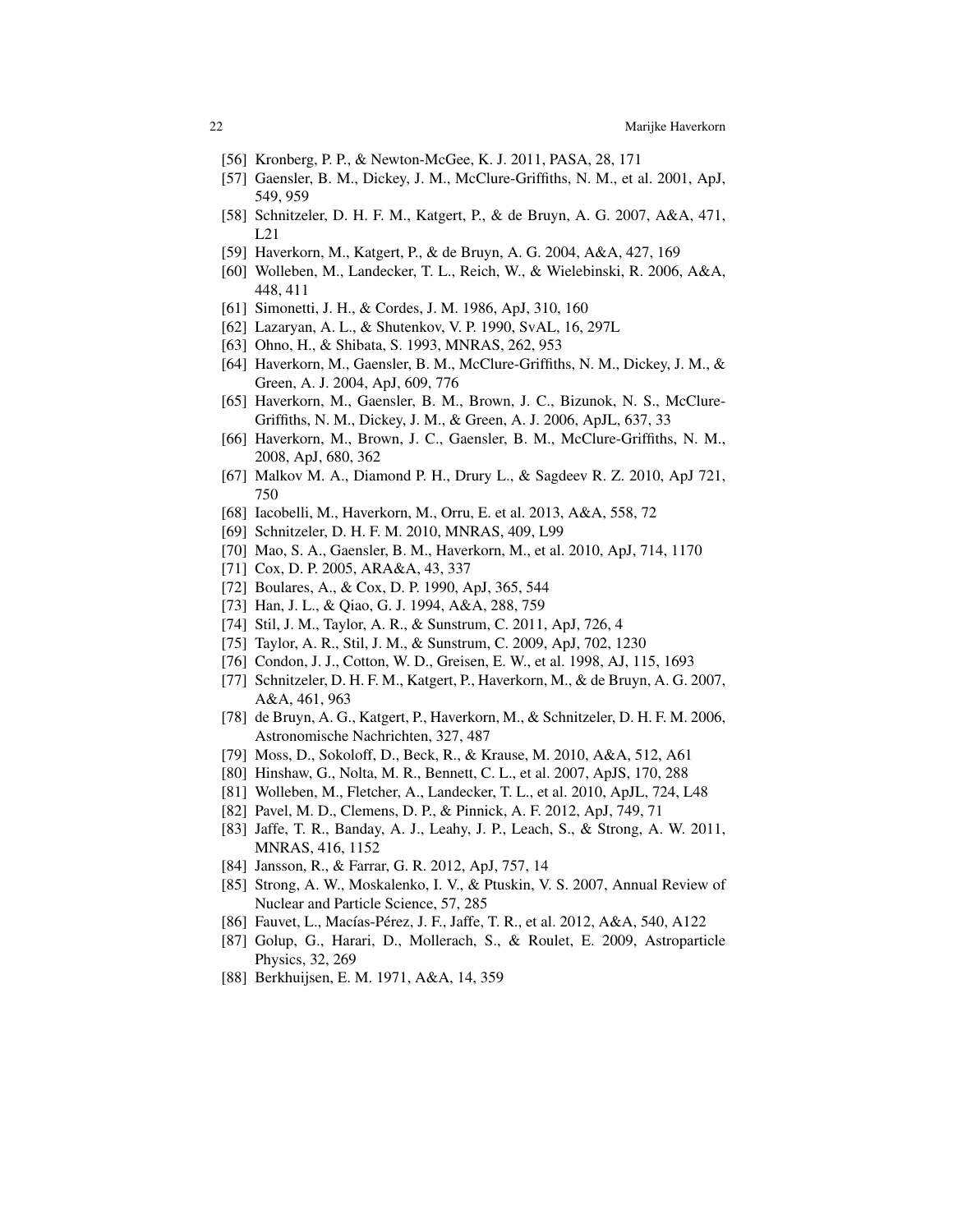- <span id="page-21-0"></span>[56] Kronberg, P. P., & Newton-McGee, K. J. 2011, PASA, 28, 171
- <span id="page-21-1"></span>[57] Gaensler, B. M., Dickey, J. M., McClure-Griffiths, N. M., et al. 2001, ApJ, 549, 959
- <span id="page-21-2"></span>[58] Schnitzeler, D. H. F. M., Katgert, P., & de Bruyn, A. G. 2007, A&A, 471, L21
- <span id="page-21-3"></span>[59] Haverkorn, M., Katgert, P., & de Bruyn, A. G. 2004, A&A, 427, 169
- <span id="page-21-4"></span>[60] Wolleben, M., Landecker, T. L., Reich, W., & Wielebinski, R. 2006, A&A, 448, 411
- <span id="page-21-5"></span>[61] Simonetti, J. H., & Cordes, J. M. 1986, ApJ, 310, 160
- <span id="page-21-6"></span>[62] Lazaryan, A. L., & Shutenkov, V. P. 1990, SvAL, 16, 297L
- <span id="page-21-7"></span>[63] Ohno, H., & Shibata, S. 1993, MNRAS, 262, 953
- <span id="page-21-8"></span>[64] Haverkorn, M., Gaensler, B. M., McClure-Griffiths, N. M., Dickey, J. M., & Green, A. J. 2004, ApJ, 609, 776
- <span id="page-21-9"></span>[65] Haverkorn, M., Gaensler, B. M., Brown, J. C., Bizunok, N. S., McClure-Griffiths, N. M., Dickey, J. M., & Green, A. J. 2006, ApJL, 637, 33
- <span id="page-21-10"></span>[66] Haverkorn, M., Brown, J. C., Gaensler, B. M., McClure-Griffiths, N. M., 2008, ApJ, 680, 362
- <span id="page-21-11"></span>[67] Malkov M. A., Diamond P. H., Drury L., & Sagdeev R. Z. 2010, ApJ 721, 750
- <span id="page-21-12"></span>[68] Iacobelli, M., Haverkorn, M., Orru, E. et al. 2013, A&A, 558, 72
- <span id="page-21-13"></span>[69] Schnitzeler, D. H. F. M. 2010, MNRAS, 409, L99
- <span id="page-21-14"></span>[70] Mao, S. A., Gaensler, B. M., Haverkorn, M., et al. 2010, ApJ, 714, 1170
- <span id="page-21-15"></span>[71] Cox, D. P. 2005, ARA&A, 43, 337
- <span id="page-21-16"></span>[72] Boulares, A., & Cox, D. P. 1990, ApJ, 365, 544
- <span id="page-21-17"></span>[73] Han, J. L., & Qiao, G. J. 1994, A&A, 288, 759
- <span id="page-21-18"></span>[74] Stil, J. M., Taylor, A. R., & Sunstrum, C. 2011, ApJ, 726, 4
- <span id="page-21-19"></span>[75] Taylor, A. R., Stil, J. M., & Sunstrum, C. 2009, ApJ, 702, 1230
- <span id="page-21-24"></span>[76] Condon, J. J., Cotton, W. D., Greisen, E. W., et al. 1998, AJ, 115, 1693
- <span id="page-21-20"></span>[77] Schnitzeler, D. H. F. M., Katgert, P., Haverkorn, M., & de Bruyn, A. G. 2007, A&A, 461, 963
- <span id="page-21-21"></span>[78] de Bruyn, A. G., Katgert, P., Haverkorn, M., & Schnitzeler, D. H. F. M. 2006, Astronomische Nachrichten, 327, 487
- <span id="page-21-22"></span>[79] Moss, D., Sokoloff, D., Beck, R., & Krause, M. 2010, A&A, 512, A61
- <span id="page-21-23"></span>[80] Hinshaw, G., Nolta, M. R., Bennett, C. L., et al. 2007, ApJS, 170, 288
- <span id="page-21-25"></span>[81] Wolleben, M., Fletcher, A., Landecker, T. L., et al. 2010, ApJL, 724, L48
- <span id="page-21-26"></span>[82] Pavel, M. D., Clemens, D. P., & Pinnick, A. F. 2012, ApJ, 749, 71
- <span id="page-21-27"></span>[83] Jaffe, T. R., Banday, A. J., Leahy, J. P., Leach, S., & Strong, A. W. 2011, MNRAS, 416, 1152
- <span id="page-21-28"></span>[84] Jansson, R., & Farrar, G. R. 2012, ApJ, 757, 14
- <span id="page-21-29"></span>[85] Strong, A. W., Moskalenko, I. V., & Ptuskin, V. S. 2007, Annual Review of Nuclear and Particle Science, 57, 285
- <span id="page-21-30"></span>[86] Fauvet, L., Macías-Pérez, J. F., Jaffe, T. R., et al. 2012, A&A, 540, A122
- <span id="page-21-31"></span>[87] Golup, G., Harari, D., Mollerach, S., & Roulet, E. 2009, Astroparticle Physics, 32, 269
- <span id="page-21-32"></span>[88] Berkhuijsen, E. M. 1971, A&A, 14, 359